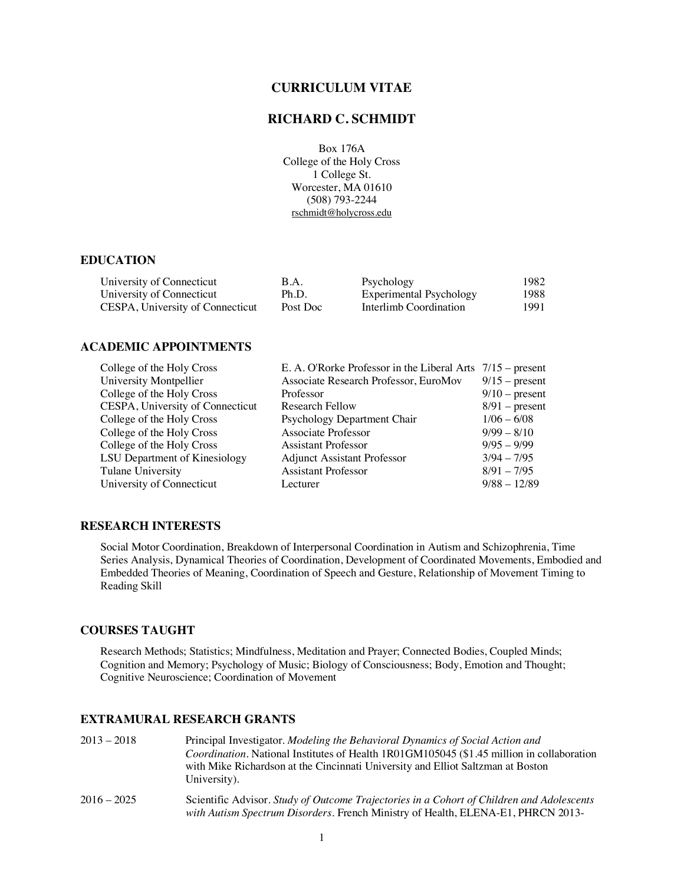## **CURRICULUM VITAE**

## **RICHARD C. SCHMIDT**

Box 176A College of the Holy Cross 1 College St. Worcester, MA 01610 (508) 793-2244 rschmidt@holycross.edu

### **EDUCATION**

| University of Connecticut        | B.A.     | Psychology              | 1982 |
|----------------------------------|----------|-------------------------|------|
| University of Connecticut        | Ph.D.    | Experimental Psychology | 1988 |
| CESPA, University of Connecticut | Post Doc | Interlimb Coordination  | 1991 |

### **ACADEMIC APPOINTMENTS**

| College of the Holy Cross        | E. A. O'Rorke Professor in the Liberal Arts | $7/15$ – present |
|----------------------------------|---------------------------------------------|------------------|
| University Montpellier           | Associate Research Professor, EuroMov       | $9/15$ – present |
| College of the Holy Cross        | Professor                                   | $9/10$ – present |
| CESPA, University of Connecticut | Research Fellow                             | $8/91$ – present |
| College of the Holy Cross        | Psychology Department Chair                 | $1/06 - 6/08$    |
| College of the Holy Cross        | Associate Professor                         | $9/99 - 8/10$    |
| College of the Holy Cross        | <b>Assistant Professor</b>                  | $9/95 - 9/99$    |
| LSU Department of Kinesiology    | <b>Adjunct Assistant Professor</b>          | $3/94 - 7/95$    |
| Tulane University                | <b>Assistant Professor</b>                  | $8/91 - 7/95$    |
| University of Connecticut        | Lecturer                                    | $9/88 - 12/89$   |
|                                  |                                             |                  |

## **RESEARCH INTERESTS**

Social Motor Coordination, Breakdown of Interpersonal Coordination in Autism and Schizophrenia, Time Series Analysis, Dynamical Theories of Coordination, Development of Coordinated Movements, Embodied and Embedded Theories of Meaning, Coordination of Speech and Gesture, Relationship of Movement Timing to Reading Skill

#### **COURSES TAUGHT**

Research Methods; Statistics; Mindfulness, Meditation and Prayer; Connected Bodies, Coupled Minds; Cognition and Memory; Psychology of Music; Biology of Consciousness; Body, Emotion and Thought; Cognitive Neuroscience; Coordination of Movement

### **EXTRAMURAL RESEARCH GRANTS**

| $2013 - 2018$ | Principal Investigator. <i>Modeling the Behavioral Dynamics of Social Action and</i>              |
|---------------|---------------------------------------------------------------------------------------------------|
|               | <i>Coordination</i> . National Institutes of Health 1R01GM105045 (\$1.45 million in collaboration |
|               | with Mike Richardson at the Cincinnati University and Elliot Saltzman at Boston                   |
|               | University).                                                                                      |
|               |                                                                                                   |

2016 – 2025 Scientific Advisor. *Study of Outcome Trajectories in a Cohort of Children and Adolescents with Autism Spectrum Disorders*. French Ministry of Health, ELENA-E1, PHRCN 2013-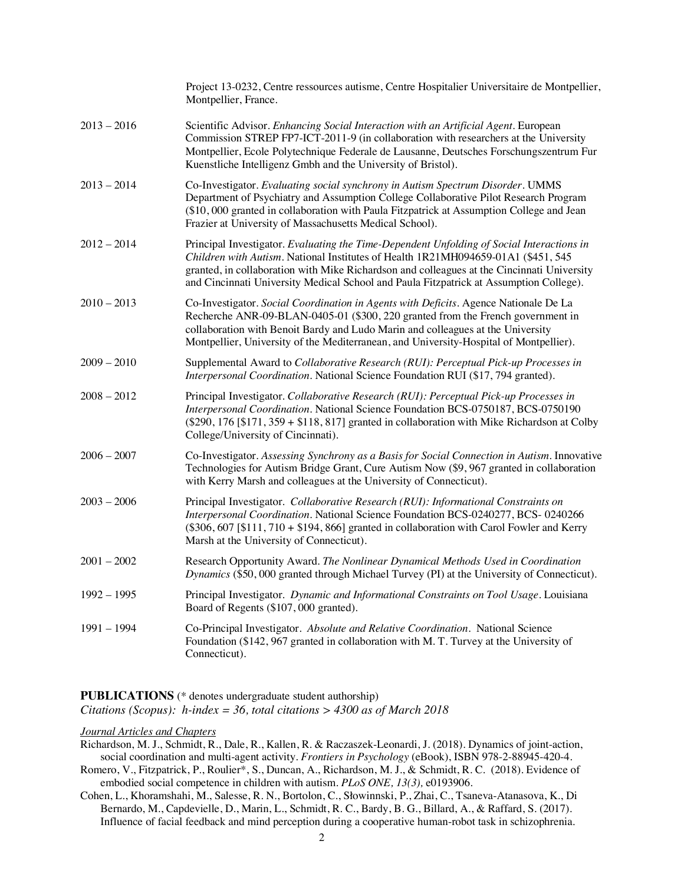|               | Project 13-0232, Centre ressources autisme, Centre Hospitalier Universitaire de Montpellier,<br>Montpellier, France.                                                                                                                                                                                                                                                   |
|---------------|------------------------------------------------------------------------------------------------------------------------------------------------------------------------------------------------------------------------------------------------------------------------------------------------------------------------------------------------------------------------|
| $2013 - 2016$ | Scientific Advisor. Enhancing Social Interaction with an Artificial Agent. European<br>Commission STREP FP7-ICT-2011-9 (in collaboration with researchers at the University<br>Montpellier, Ecole Polytechnique Federale de Lausanne, Deutsches Forschungszentrum Fur<br>Kuenstliche Intelligenz Gmbh and the University of Bristol).                                  |
| $2013 - 2014$ | Co-Investigator. Evaluating social synchrony in Autism Spectrum Disorder. UMMS<br>Department of Psychiatry and Assumption College Collaborative Pilot Research Program<br>(\$10,000 granted in collaboration with Paula Fitzpatrick at Assumption College and Jean<br>Frazier at University of Massachusetts Medical School).                                          |
| 2012 – 2014   | Principal Investigator. Evaluating the Time-Dependent Unfolding of Social Interactions in<br>Children with Autism. National Institutes of Health 1R21MH094659-01A1 (\$451, 545<br>granted, in collaboration with Mike Richardson and colleagues at the Cincinnati University<br>and Cincinnati University Medical School and Paula Fitzpatrick at Assumption College). |
| $2010 - 2013$ | Co-Investigator. Social Coordination in Agents with Deficits. Agence Nationale De La<br>Recherche ANR-09-BLAN-0405-01 (\$300, 220 granted from the French government in<br>collaboration with Benoit Bardy and Ludo Marin and colleagues at the University<br>Montpellier, University of the Mediterranean, and University-Hospital of Montpellier).                   |
| $2009 - 2010$ | Supplemental Award to Collaborative Research (RUI): Perceptual Pick-up Processes in<br>Interpersonal Coordination. National Science Foundation RUI (\$17, 794 granted).                                                                                                                                                                                                |
| 2008 – 2012   | Principal Investigator. Collaborative Research (RUI): Perceptual Pick-up Processes in<br>Interpersonal Coordination. National Science Foundation BCS-0750187, BCS-0750190<br>(\$290, 176 [\$171, 359 + \$118, 817] granted in collaboration with Mike Richardson at Colby<br>College/University of Cincinnati).                                                        |
| $2006 - 2007$ | Co-Investigator. Assessing Synchrony as a Basis for Social Connection in Autism. Innovative<br>Technologies for Autism Bridge Grant, Cure Autism Now (\$9,967 granted in collaboration<br>with Kerry Marsh and colleagues at the University of Connecticut).                                                                                                           |
| $2003 - 2006$ | Principal Investigator. Collaborative Research (RUI): Informational Constraints on<br>Interpersonal Coordination. National Science Foundation BCS-0240277, BCS-0240266<br>$(\$306, 607   \$111, 710 + \$194, 866]$ granted in collaboration with Carol Fowler and Kerry<br>Marsh at the University of Connecticut).                                                    |
| $2001 - 2002$ | Research Opportunity Award. The Nonlinear Dynamical Methods Used in Coordination<br>Dynamics (\$50,000 granted through Michael Turvey (PI) at the University of Connecticut).                                                                                                                                                                                          |
| $1992 - 1995$ | Principal Investigator. Dynamic and Informational Constraints on Tool Usage. Louisiana<br>Board of Regents (\$107,000 granted).                                                                                                                                                                                                                                        |
| 1991 - 1994   | Co-Principal Investigator. Absolute and Relative Coordination. National Science<br>Foundation (\$142, 967 granted in collaboration with M. T. Turvey at the University of<br>Connecticut).                                                                                                                                                                             |

**PUBLICATIONS** (\* denotes undergraduate student authorship) *Citations (Scopus): h-index = 36, total citations > 4300 as of March 2018*

### *Journal Articles and Chapters*

Richardson, M. J., Schmidt, R., Dale, R., Kallen, R. & Raczaszek-Leonardi, J. (2018). Dynamics of joint-action, social coordination and multi-agent activity. *Frontiers in Psychology* (eBook), ISBN 978-2-88945-420-4.

Romero, V., Fitzpatrick, P., Roulier\*, S., Duncan, A., Richardson, M. J., & Schmidt, R. C. (2018). Evidence of embodied social competence in children with autism. *PLoS ONE, 13(3),* e0193906.

Cohen, L., Khoramshahi, M., Salesse, R. N., Bortolon, C., Słowinnski, P., Zhai, C., Tsaneva-Atanasova, K., Di Bernardo, M., Capdevielle, D., Marin, L., Schmidt, R. C., Bardy, B. G., Billard, A., & Raffard, S. (2017). Influence of facial feedback and mind perception during a cooperative human-robot task in schizophrenia.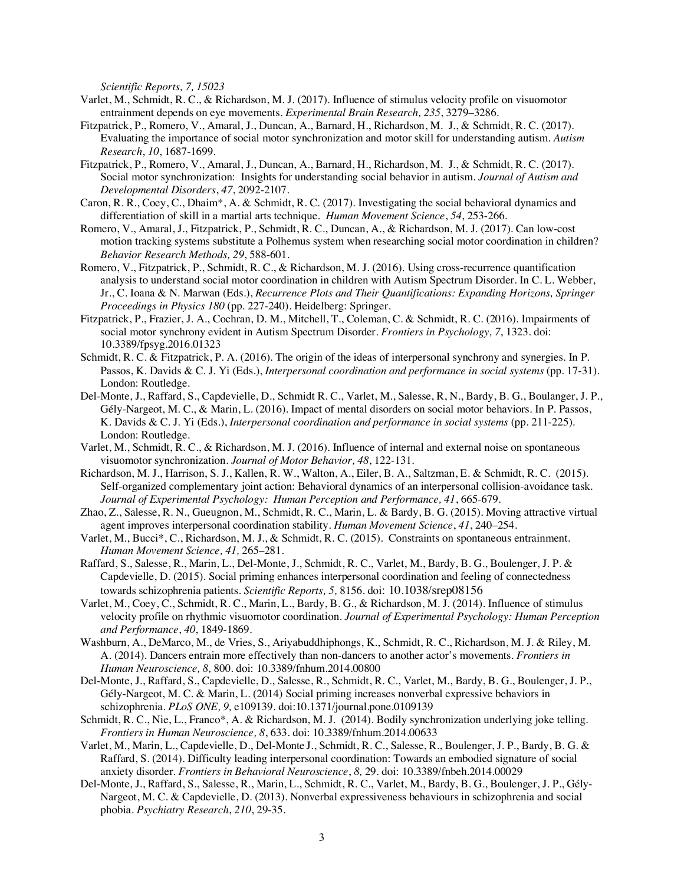*Scientific Reports, 7, 15023* 

- Varlet, M., Schmidt, R. C., & Richardson, M. J. (2017). Influence of stimulus velocity profile on visuomotor entrainment depends on eye movements. *Experimental Brain Research, 235*, 3279–3286.
- Fitzpatrick, P., Romero, V., Amaral, J., Duncan, A., Barnard, H., Richardson, M. J., & Schmidt, R. C. (2017). Evaluating the importance of social motor synchronization and motor skill for understanding autism. *Autism Research*, *10*, 1687-1699.
- Fitzpatrick, P., Romero, V., Amaral, J., Duncan, A., Barnard, H., Richardson, M. J., & Schmidt, R. C. (2017). Social motor synchronization: Insights for understanding social behavior in autism. *Journal of Autism and Developmental Disorders*, *47*, 2092-2107.
- Caron, R. R., Coey, C., Dhaim\*, A. & Schmidt, R. C. (2017). Investigating the social behavioral dynamics and differentiation of skill in a martial arts technique. *Human Movement Science*, *54*, 253-266*.*
- Romero, V., Amaral, J., Fitzpatrick, P., Schmidt, R. C., Duncan, A., & Richardson, M. J. (2017). Can low-cost motion tracking systems substitute a Polhemus system when researching social motor coordination in children? *Behavior Research Methods, 29*, 588-601.
- Romero, V., Fitzpatrick, P., Schmidt, R. C., & Richardson, M. J. (2016). Using cross-recurrence quantification analysis to understand social motor coordination in children with Autism Spectrum Disorder. In C. L. Webber, Jr., C. Ioana & N. Marwan (Eds.), *Recurrence Plots and Their Quantifications: Expanding Horizons, Springer Proceedings in Physics 180* (pp. 227-240). Heidelberg: Springer.
- Fitzpatrick, P., Frazier, J. A., Cochran, D. M., Mitchell, T., Coleman, C. & Schmidt, R. C. (2016). Impairments of social motor synchrony evident in Autism Spectrum Disorder. *Frontiers in Psychology, 7*, 1323. doi: 10.3389/fpsyg.2016.01323
- Schmidt, R. C. & Fitzpatrick, P. A. (2016). The origin of the ideas of interpersonal synchrony and synergies. In P. Passos, K. Davids & C. J. Yi (Eds.), *Interpersonal coordination and performance in social systems* (pp. 17-31). London: Routledge.
- Del-Monte, J., Raffard, S., Capdevielle, D., Schmidt R. C., Varlet, M., Salesse, R, N., Bardy, B. G., Boulanger, J. P., Gély-Nargeot, M. C., & Marin, L. (2016). Impact of mental disorders on social motor behaviors. In P. Passos, K. Davids & C. J. Yi (Eds.), *Interpersonal coordination and performance in social systems* (pp. 211-225). London: Routledge.
- Varlet, M., Schmidt, R. C., & Richardson, M. J. (2016). Influence of internal and external noise on spontaneous visuomotor synchronization. *Journal of Motor Behavior, 48*, 122-131*.*
- Richardson, M. J., Harrison, S. J., Kallen, R. W., Walton, A., Eiler, B. A., Saltzman, E. & Schmidt, R. C. (2015). Self-organized complementary joint action: Behavioral dynamics of an interpersonal collision-avoidance task. *Journal of Experimental Psychology: Human Perception and Performance, 41*, 665-679*.*
- Zhao, Z., Salesse, R. N., Gueugnon, M., Schmidt, R. C., Marin, L. & Bardy, B. G. (2015). Moving attractive virtual agent improves interpersonal coordination stability. *Human Movement Science*, *41*, 240–254.
- Varlet, M., Bucci\*, C., Richardson, M. J., & Schmidt, R. C. (2015). Constraints on spontaneous entrainment. *Human Movement Science, 41,* 265–281.
- Raffard, S., Salesse, R., Marin, L., Del-Monte, J., Schmidt, R. C., Varlet, M., Bardy, B. G., Boulenger, J. P. & Capdevielle, D. (2015). Social priming enhances interpersonal coordination and feeling of connectedness towards schizophrenia patients. *Scientific Reports, 5,* 8156. doi: 10.1038/srep08156
- Varlet, M., Coey, C., Schmidt, R. C., Marin, L., Bardy, B. G., & Richardson, M. J. (2014). Influence of stimulus velocity profile on rhythmic visuomotor coordination. *Journal of Experimental Psychology: Human Perception and Performance*, *40*, 1849-1869.
- Washburn, A., DeMarco, M., de Vries, S., Ariyabuddhiphongs, K., Schmidt, R. C., Richardson, M. J. & Riley, M. A. (2014). Dancers entrain more effectively than non-dancers to another actor's movements. *Frontiers in Human Neuroscience, 8,* 800*.* doi: 10.3389/fnhum.2014.00800
- Del-Monte, J., Raffard, S., Capdevielle, D., Salesse, R., Schmidt, R. C., Varlet, M., Bardy, B. G., Boulenger, J. P., Gély-Nargeot, M. C. & Marin, L. (2014) Social priming increases nonverbal expressive behaviors in schizophrenia. *PLoS ONE, 9,* e109139. doi:10.1371/journal.pone.0109139
- Schmidt, R. C., Nie, L., Franco\*, A. & Richardson, M. J. (2014). Bodily synchronization underlying joke telling. *Frontiers in Human Neuroscience, 8*, 633. doi: 10.3389/fnhum.2014.00633
- Varlet, M., Marin, L., Capdevielle, D., Del-Monte J., Schmidt, R. C., Salesse, R., Boulenger, J. P., Bardy, B. G. & Raffard, S. (2014). Difficulty leading interpersonal coordination: Towards an embodied signature of social anxiety disorder. *Frontiers in Behavioral Neuroscience*, *8,* 29*.* doi: 10.3389/fnbeh.2014.00029
- Del-Monte, J., Raffard, S., Salesse, R., Marin, L., Schmidt, R. C., Varlet, M., Bardy, B. G., Boulenger, J. P., Gély-Nargeot, M. C. & Capdevielle, D. (2013). Nonverbal expressiveness behaviours in schizophrenia and social phobia. *Psychiatry Research*, *210*, 29-35.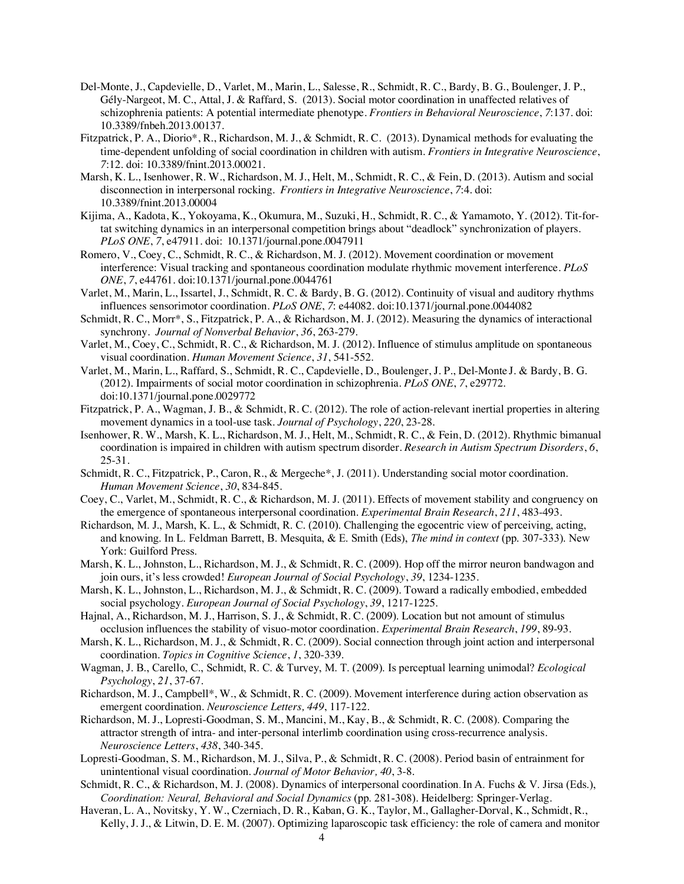- Del-Monte, J., Capdevielle, D., Varlet, M., Marin, L., Salesse, R., Schmidt, R. C., Bardy, B. G., Boulenger, J. P., Gély-Nargeot, M. C., Attal, J. & Raffard, S. (2013). Social motor coordination in unaffected relatives of schizophrenia patients: A potential intermediate phenotype. *Frontiers in Behavioral Neuroscience*, *7*:137. doi: 10.3389/fnbeh.2013.00137.
- Fitzpatrick, P. A., Diorio\*, R., Richardson, M. J., & Schmidt, R. C. (2013). Dynamical methods for evaluating the time-dependent unfolding of social coordination in children with autism. *Frontiers in Integrative Neuroscience*, *7*:12. doi: 10.3389/fnint.2013.00021.
- Marsh, K. L., Isenhower, R. W., Richardson, M. J., Helt, M., Schmidt, R. C., & Fein, D. (2013). Autism and social disconnection in interpersonal rocking. *Frontiers in Integrative Neuroscience*, *7*:4. doi: 10.3389/fnint.2013.00004
- Kijima, A., Kadota, K., Yokoyama, K., Okumura, M., Suzuki, H., Schmidt, R. C., & Yamamoto, Y. (2012). Tit-fortat switching dynamics in an interpersonal competition brings about "deadlock" synchronization of players. *PLoS ONE*, *7*, e47911. doi: 10.1371/journal.pone.0047911
- Romero, V., Coey, C., Schmidt, R. C., & Richardson, M. J. (2012). Movement coordination or movement interference: Visual tracking and spontaneous coordination modulate rhythmic movement interference. *PLoS ONE*, *7*, e44761. doi:10.1371/journal.pone.0044761
- Varlet, M., Marin, L., Issartel, J., Schmidt, R. C. & Bardy, B. G. (2012). Continuity of visual and auditory rhythms influences sensorimotor coordination. *PLoS ONE*, *7*: e44082. doi:10.1371/journal.pone.0044082
- Schmidt, R. C., Morr\*, S., Fitzpatrick, P. A., & Richardson, M. J. (2012). Measuring the dynamics of interactional synchrony. *Journal of Nonverbal Behavior*, *36*, 263-279.
- Varlet, M., Coey, C., Schmidt, R. C., & Richardson, M. J. (2012). Influence of stimulus amplitude on spontaneous visual coordination. *Human Movement Science*, *31*, 541-552*.*
- Varlet, M., Marin, L., Raffard, S., Schmidt, R. C., Capdevielle, D., Boulenger, J. P., Del-Monte J. & Bardy, B. G. (2012). Impairments of social motor coordination in schizophrenia. *PLoS ONE*, *7*, e29772. doi:10.1371/journal.pone.0029772
- Fitzpatrick, P. A., Wagman, J. B., & Schmidt, R. C. (2012). The role of action-relevant inertial properties in altering movement dynamics in a tool-use task. *Journal of Psychology*, *220*, 23-28.
- Isenhower, R. W., Marsh, K. L., Richardson, M. J., Helt, M., Schmidt, R. C., & Fein, D. (2012). Rhythmic bimanual coordination is impaired in children with autism spectrum disorder. *Research in Autism Spectrum Disorders*, *6*, 25-31.
- Schmidt, R. C., Fitzpatrick, P., Caron, R., & Mergeche\*, J. (2011). Understanding social motor coordination. *Human Movement Science*, *30*, 834-845.
- Coey, C., Varlet, M., Schmidt, R. C., & Richardson, M. J. (2011). Effects of movement stability and congruency on the emergence of spontaneous interpersonal coordination. *Experimental Brain Research*, *211*, 483-493.
- Richardson, M. J., Marsh, K. L., & Schmidt, R. C. (2010). Challenging the egocentric view of perceiving, acting, and knowing. In L. Feldman Barrett, B. Mesquita, & E. Smith (Eds), *The mind in context* (pp. 307-333). New York: Guilford Press.
- Marsh, K. L., Johnston, L., Richardson, M. J., & Schmidt, R. C. (2009). Hop off the mirror neuron bandwagon and join ours, it's less crowded! *European Journal of Social Psychology*, *39*, 1234-1235.
- Marsh, K. L., Johnston, L., Richardson, M. J., & Schmidt, R. C. (2009). Toward a radically embodied, embedded social psychology. *European Journal of Social Psychology*, *39*, 1217-1225.
- Hajnal, A., Richardson, M. J., Harrison, S. J., & Schmidt, R. C. (2009). Location but not amount of stimulus occlusion influences the stability of visuo-motor coordination. *Experimental Brain Research*, *199*, 89-93.
- Marsh, K. L., Richardson, M. J., & Schmidt, R. C. (2009). Social connection through joint action and interpersonal coordination. *Topics in Cognitive Science*, *1*, 320-339.
- Wagman, J. B., Carello, C., Schmidt, R. C. & Turvey, M. T. (2009). Is perceptual learning unimodal? *Ecological Psychology*, *21*, 37-67.
- Richardson, M. J., Campbell\*, W., & Schmidt, R. C. (2009). Movement interference during action observation as emergent coordination. *Neuroscience Letters, 449*, 117-122.
- Richardson, M. J., Lopresti-Goodman, S. M., Mancini, M., Kay, B., & Schmidt, R. C. (2008). Comparing the attractor strength of intra- and inter-personal interlimb coordination using cross-recurrence analysis. *Neuroscience Letters*, *438*, 340-345.
- Lopresti-Goodman, S. M., Richardson, M. J., Silva, P., & Schmidt, R. C. (2008). Period basin of entrainment for unintentional visual coordination. *Journal of Motor Behavior, 40*, 3-8.
- Schmidt, R. C., & Richardson, M. J. (2008). Dynamics of interpersonal coordination. In A. Fuchs & V. Jirsa (Eds.), *Coordination: Neural, Behavioral and Social Dynamics* (pp. 281-308). Heidelberg: Springer-Verlag.
- Haveran, L. A., Novitsky, Y. W., Czerniach, D. R., Kaban, G. K., Taylor, M., Gallagher-Dorval, K., Schmidt, R., Kelly, J. J., & Litwin, D. E. M. (2007). Optimizing laparoscopic task efficiency: the role of camera and monitor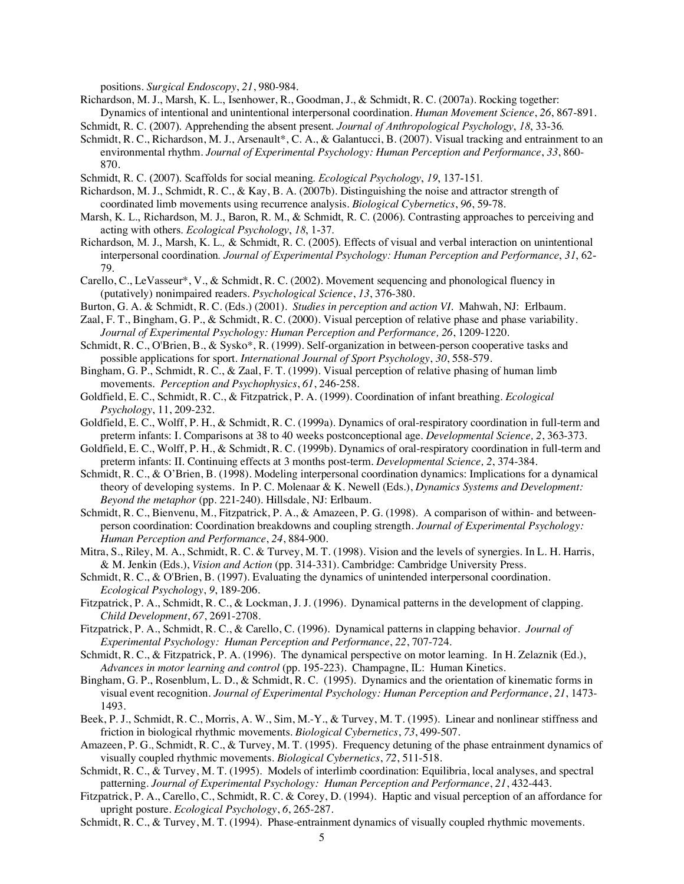positions. *Surgical Endoscopy*, *21*, 980-984.

Richardson, M. J., Marsh, K. L., Isenhower, R., Goodman, J., & Schmidt, R. C. (2007a). Rocking together: Dynamics of intentional and unintentional interpersonal coordination. *Human Movement Science*, *26*, 867-891*.*

Schmidt, R. C. (2007). Apprehending the absent present. *Journal of Anthropological Psychology*, *18*, 33-36*.*

- Schmidt, R. C., Richardson, M. J., Arsenault\*, C. A., & Galantucci, B. (2007). Visual tracking and entrainment to an environmental rhythm. *Journal of Experimental Psychology: Human Perception and Performance*, *33*, 860- 870.
- Schmidt, R. C. (2007). Scaffolds for social meaning. *Ecological Psychology*, *19*, 137-151*.*
- Richardson, M. J., Schmidt, R. C., & Kay, B. A. (2007b). Distinguishing the noise and attractor strength of coordinated limb movements using recurrence analysis. *Biological Cybernetics*, *96*, 59-78.
- Marsh, K. L., Richardson, M. J., Baron, R. M., & Schmidt, R. C. (2006). Contrasting approaches to perceiving and acting with others. *Ecological Psychology*, *18*, 1-37.
- Richardson, M. J., Marsh, K. L.*,* & Schmidt, R. C. (2005). Effects of visual and verbal interaction on unintentional interpersonal coordination*. Journal of Experimental Psychology: Human Perception and Performance*, *31*, 62- 79.
- Carello, C., LeVasseur\*, V., & Schmidt, R. C. (2002). Movement sequencing and phonological fluency in (putatively) nonimpaired readers. *Psychological Science*, *13*, 376-380.
- Burton, G. A. & Schmidt, R. C. (Eds.) (2001). *Studies in perception and action VI*. Mahwah, NJ: Erlbaum.
- Zaal, F. T., Bingham, G. P., & Schmidt, R. C. (2000). Visual perception of relative phase and phase variability. *Journal of Experimental Psychology: Human Perception and Performance, 26*, 1209-1220.
- Schmidt, R. C., O'Brien, B., & Sysko\*, R. (1999). Self-organization in between-person cooperative tasks and possible applications for sport. *International Journal of Sport Psychology*, *30*, 558-579.
- Bingham, G. P., Schmidt, R. C., & Zaal, F. T. (1999). Visual perception of relative phasing of human limb movements. *Perception and Psychophysics*, *61*, 246-258.
- Goldfield, E. C., Schmidt, R. C., & Fitzpatrick, P. A. (1999). Coordination of infant breathing. *Ecological Psychology*, 11, 209-232.
- Goldfield, E. C., Wolff, P. H., & Schmidt, R. C. (1999a). Dynamics of oral-respiratory coordination in full-term and preterm infants: I. Comparisons at 38 to 40 weeks postconceptional age. *Developmental Science, 2*, 363-373.
- Goldfield, E. C., Wolff, P. H., & Schmidt, R. C. (1999b). Dynamics of oral-respiratory coordination in full-term and preterm infants: II. Continuing effects at 3 months post-term. *Developmental Science, 2*, 374-384.
- Schmidt, R. C., & O'Brien, B. (1998). Modeling interpersonal coordination dynamics: Implications for a dynamical theory of developing systems. In P. C. Molenaar & K. Newell (Eds.), *Dynamics Systems and Development: Beyond the metaphor* (pp. 221-240). Hillsdale, NJ: Erlbaum.
- Schmidt, R. C., Bienvenu, M., Fitzpatrick, P. A., & Amazeen, P. G. (1998). A comparison of within- and betweenperson coordination: Coordination breakdowns and coupling strength. *Journal of Experimental Psychology: Human Perception and Performance*, *24*, 884-900.
- Mitra, S., Riley, M. A., Schmidt, R. C. & Turvey, M. T. (1998). Vision and the levels of synergies. In L. H. Harris, & M. Jenkin (Eds.), *Vision and Action* (pp. 314-331). Cambridge: Cambridge University Press.
- Schmidt, R. C., & O'Brien, B. (1997). Evaluating the dynamics of unintended interpersonal coordination. *Ecological Psychology*, *9*, 189-206.
- Fitzpatrick, P. A., Schmidt, R. C., & Lockman, J. J. (1996). Dynamical patterns in the development of clapping. *Child Development*, *67*, 2691-2708.

Fitzpatrick, P. A., Schmidt, R. C., & Carello, C. (1996). Dynamical patterns in clapping behavior. *Journal of Experimental Psychology: Human Perception and Performance*, *22*, 707-724.

- Schmidt, R. C., & Fitzpatrick, P. A. (1996). The dynamical perspective on motor learning. In H. Zelaznik (Ed.), *Advances in motor learning and control* (pp. 195-223). Champagne, IL: Human Kinetics.
- Bingham, G. P., Rosenblum, L. D., & Schmidt, R. C. (1995). Dynamics and the orientation of kinematic forms in visual event recognition. *Journal of Experimental Psychology: Human Perception and Performance*, *21*, 1473- 1493.
- Beek, P. J., Schmidt, R. C., Morris, A. W., Sim, M.-Y., & Turvey, M. T. (1995). Linear and nonlinear stiffness and friction in biological rhythmic movements. *Biological Cybernetics*, *73*, 499-507.
- Amazeen, P. G., Schmidt, R. C., & Turvey, M. T. (1995). Frequency detuning of the phase entrainment dynamics of visually coupled rhythmic movements. *Biological Cybernetics*, *72*, 511-518.
- Schmidt, R. C., & Turvey, M. T. (1995). Models of interlimb coordination: Equilibria, local analyses, and spectral patterning. *Journal of Experimental Psychology: Human Perception and Performance*, *21*, 432-443.
- Fitzpatrick, P. A., Carello, C., Schmidt, R. C. & Corey, D. (1994). Haptic and visual perception of an affordance for upright posture. *Ecological Psychology*, *6*, 265-287.

Schmidt, R. C., & Turvey, M. T. (1994). Phase-entrainment dynamics of visually coupled rhythmic movements.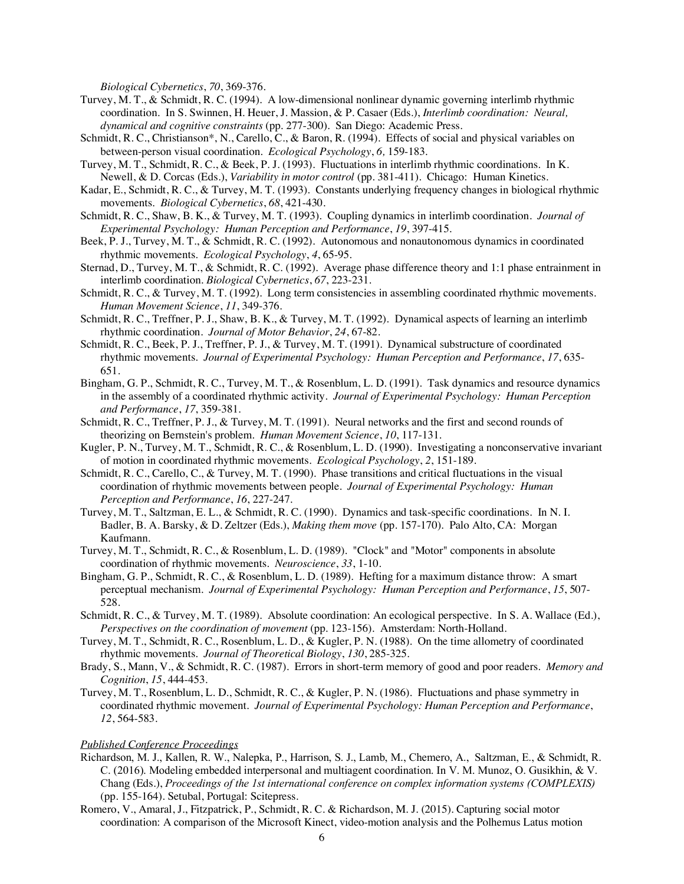*Biological Cybernetics*, *70*, 369-376.

- Turvey, M. T., & Schmidt, R. C. (1994). A low-dimensional nonlinear dynamic governing interlimb rhythmic coordination. In S. Swinnen, H. Heuer, J. Massion, & P. Casaer (Eds.), *Interlimb coordination: Neural, dynamical and cognitive constraints* (pp. 277-300)*.* San Diego: Academic Press.
- Schmidt, R. C., Christianson\*, N., Carello, C., & Baron, R. (1994). Effects of social and physical variables on between-person visual coordination. *Ecological Psychology*, *6,* 159-183.
- Turvey, M. T., Schmidt, R. C., & Beek, P. J. (1993). Fluctuations in interlimb rhythmic coordinations. In K. Newell, & D. Corcas (Eds.), *Variability in motor control* (pp. 381-411). Chicago: Human Kinetics.
- Kadar, E., Schmidt, R. C., & Turvey, M. T. (1993). Constants underlying frequency changes in biological rhythmic movements. *Biological Cybernetics*, *68*, 421-430.
- Schmidt, R. C., Shaw, B. K., & Turvey, M. T. (1993). Coupling dynamics in interlimb coordination. *Journal of Experimental Psychology: Human Perception and Performance*, *19*, 397-415.
- Beek, P. J., Turvey, M. T., & Schmidt, R. C. (1992). Autonomous and nonautonomous dynamics in coordinated rhythmic movements. *Ecological Psychology*, *4*, 65-95.
- Sternad, D., Turvey, M. T., & Schmidt, R. C. (1992). Average phase difference theory and 1:1 phase entrainment in interlimb coordination. *Biological Cybernetics*, *67*, 223-231.
- Schmidt, R. C., & Turvey, M. T. (1992). Long term consistencies in assembling coordinated rhythmic movements. *Human Movement Science*, *11*, 349-376.
- Schmidt, R. C., Treffner, P. J., Shaw, B. K., & Turvey, M. T. (1992). Dynamical aspects of learning an interlimb rhythmic coordination. *Journal of Motor Behavior*, *24*, 67-82.
- Schmidt, R. C., Beek, P. J., Treffner, P. J., & Turvey, M. T. (1991). Dynamical substructure of coordinated rhythmic movements. *Journal of Experimental Psychology: Human Perception and Performance*, *17*, 635- 651.
- Bingham, G. P., Schmidt, R. C., Turvey, M. T., & Rosenblum, L. D. (1991). Task dynamics and resource dynamics in the assembly of a coordinated rhythmic activity. *Journal of Experimental Psychology: Human Perception and Performance*, *17*, 359-381.
- Schmidt, R. C., Treffner, P. J., & Turvey, M. T. (1991). Neural networks and the first and second rounds of theorizing on Bernstein's problem. *Human Movement Science*, *10*, 117-131.
- Kugler, P. N., Turvey, M. T., Schmidt, R. C., & Rosenblum, L. D. (1990). Investigating a nonconservative invariant of motion in coordinated rhythmic movements. *Ecological Psychology*, *2*, 151-189.
- Schmidt, R. C., Carello, C., & Turvey, M. T. (1990). Phase transitions and critical fluctuations in the visual coordination of rhythmic movements between people. *Journal of Experimental Psychology: Human Perception and Performance*, *16*, 227-247.
- Turvey, M. T., Saltzman, E. L., & Schmidt, R. C. (1990). Dynamics and task-specific coordinations. In N. I. Badler, B. A. Barsky, & D. Zeltzer (Eds.), *Making them move* (pp. 157-170). Palo Alto, CA: Morgan Kaufmann.
- Turvey, M. T., Schmidt, R. C., & Rosenblum, L. D. (1989). "Clock" and "Motor" components in absolute coordination of rhythmic movements. *Neuroscience*, *33*, 1-10.
- Bingham, G. P., Schmidt, R. C., & Rosenblum, L. D. (1989). Hefting for a maximum distance throw: A smart perceptual mechanism. *Journal of Experimental Psychology: Human Perception and Performance*, *15*, 507- 528.
- Schmidt, R. C., & Turvey, M. T. (1989). Absolute coordination: An ecological perspective. In S. A. Wallace (Ed.), *Perspectives on the coordination of movement* (pp. 123-156). Amsterdam: North-Holland.
- Turvey, M. T., Schmidt, R. C., Rosenblum, L. D., & Kugler, P. N. (1988). On the time allometry of coordinated rhythmic movements. *Journal of Theoretical Biology*, *130*, 285-325.
- Brady, S., Mann, V., & Schmidt, R. C. (1987). Errors in short-term memory of good and poor readers. *Memory and Cognition*, *15*, 444-453.
- Turvey, M. T., Rosenblum, L. D., Schmidt, R. C., & Kugler, P. N. (1986). Fluctuations and phase symmetry in coordinated rhythmic movement. *Journal of Experimental Psychology: Human Perception and Performance*, *12*, 564-583.

#### *Published Conference Proceedings*

- Richardson, M. J., Kallen, R. W., Nalepka, P., Harrison, S. J., Lamb, M., Chemero, A., Saltzman, E., & Schmidt, R. C. (2016). Modeling embedded interpersonal and multiagent coordination. In V. M. Munoz, O. Gusikhin, & V. Chang (Eds.), *Proceedings of the 1st international conference on complex information systems (COMPLEXIS)* (pp. 155-164). Setubal, Portugal: Scitepress.
- Romero, V., Amaral, J., Fitzpatrick, P., Schmidt, R. C. & Richardson, M. J. (2015). Capturing social motor coordination: A comparison of the Microsoft Kinect, video-motion analysis and the Polhemus Latus motion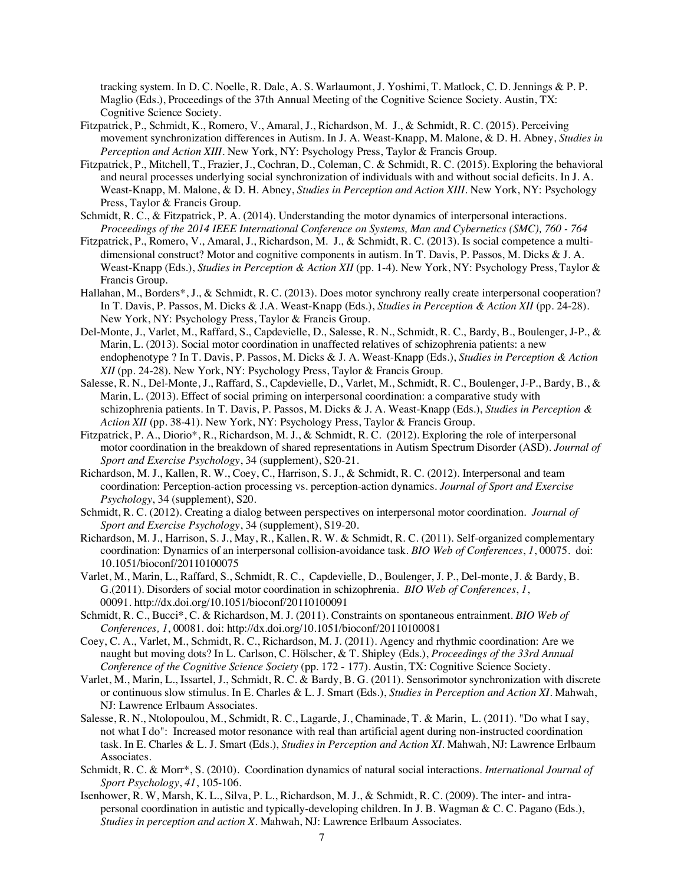tracking system. In D. C. Noelle, R. Dale, A. S. Warlaumont, J. Yoshimi, T. Matlock, C. D. Jennings & P. P. Maglio (Eds.), Proceedings of the 37th Annual Meeting of the Cognitive Science Society. Austin, TX: Cognitive Science Society.

- Fitzpatrick, P., Schmidt, K., Romero, V., Amaral, J., Richardson, M. J., & Schmidt, R. C. (2015). Perceiving movement synchronization differences in Autism. In J. A. Weast-Knapp, M. Malone, & D. H. Abney, *Studies in Perception and Action XIII*. New York, NY: Psychology Press, Taylor & Francis Group.
- Fitzpatrick, P., Mitchell, T., Frazier, J., Cochran, D., Coleman, C. & Schmidt, R. C. (2015). Exploring the behavioral and neural processes underlying social synchronization of individuals with and without social deficits. In J. A. Weast-Knapp, M. Malone, & D. H. Abney, *Studies in Perception and Action XIII*. New York, NY: Psychology Press, Taylor & Francis Group.
- Schmidt, R. C., & Fitzpatrick, P. A. (2014). Understanding the motor dynamics of interpersonal interactions. *Proceedings of the 2014 IEEE International Conference on Systems, Man and Cybernetics (SMC), 760 - 764*
- Fitzpatrick, P., Romero, V., Amaral, J., Richardson, M. J., & Schmidt, R. C. (2013). Is social competence a multidimensional construct? Motor and cognitive components in autism. In T. Davis, P. Passos, M. Dicks & J. A. Weast-Knapp (Eds.), *Studies in Perception & Action XII* (pp. 1-4). New York, NY: Psychology Press, Taylor & Francis Group.
- Hallahan, M., Borders\*, J., & Schmidt, R. C. (2013). Does motor synchrony really create interpersonal cooperation? In T. Davis, P. Passos, M. Dicks & J.A. Weast-Knapp (Eds.), *Studies in Perception & Action XII* (pp. 24-28). New York, NY: Psychology Press, Taylor & Francis Group.
- Del-Monte, J., Varlet, M., Raffard, S., Capdevielle, D., Salesse, R. N., Schmidt, R. C., Bardy, B., Boulenger, J-P., & Marin, L. (2013). Social motor coordination in unaffected relatives of schizophrenia patients: a new endophenotype ? In T. Davis, P. Passos, M. Dicks & J. A. Weast-Knapp (Eds.), *Studies in Perception & Action XII* (pp. 24-28). New York, NY: Psychology Press, Taylor & Francis Group.
- Salesse, R. N., Del-Monte, J., Raffard, S., Capdevielle, D., Varlet, M., Schmidt, R. C., Boulenger, J-P., Bardy, B., & Marin, L. (2013). Effect of social priming on interpersonal coordination: a comparative study with schizophrenia patients. In T. Davis, P. Passos, M. Dicks & J. A. Weast-Knapp (Eds.), *Studies in Perception & Action XII* (pp. 38-41). New York, NY: Psychology Press, Taylor & Francis Group.
- Fitzpatrick, P. A., Diorio\*, R., Richardson, M. J., & Schmidt, R. C. (2012). Exploring the role of interpersonal motor coordination in the breakdown of shared representations in Autism Spectrum Disorder (ASD). *Journal of Sport and Exercise Psychology*, 34 (supplement), S20-21.
- Richardson, M. J., Kallen, R. W., Coey, C., Harrison, S. J., & Schmidt, R. C. (2012). Interpersonal and team coordination: Perception-action processing vs. perception-action dynamics. *Journal of Sport and Exercise Psychology*, 34 (supplement), S20.
- Schmidt, R. C. (2012). Creating a dialog between perspectives on interpersonal motor coordination. *Journal of Sport and Exercise Psychology*, 34 (supplement), S19-20.
- Richardson, M. J., Harrison, S. J., May, R., Kallen, R. W. & Schmidt, R. C. (2011). Self-organized complementary coordination: Dynamics of an interpersonal collision-avoidance task. *BIO Web of Conferences*, *1*, 00075. doi: 10.1051/bioconf/20110100075
- Varlet, M., Marin, L., Raffard, S., Schmidt, R. C., Capdevielle, D., Boulenger, J. P., Del-monte, J. & Bardy, B. G.(2011). Disorders of social motor coordination in schizophrenia. *BIO Web of Conferences*, *1*, 00091. http://dx.doi.org/10.1051/bioconf/20110100091
- Schmidt, R. C., Bucci\*, C. & Richardson, M. J. (2011). Constraints on spontaneous entrainment. *BIO Web of Conferences, 1*, 00081. doi: http://dx.doi.org/10.1051/bioconf/20110100081
- Coey, C. A., Varlet, M., Schmidt, R. C., Richardson, M. J. (2011). Agency and rhythmic coordination: Are we naught but moving dots? In L. Carlson, C. Hölscher, & T. Shipley (Eds.), *Proceedings of the 33rd Annual Conference of the Cognitive Science Society* (pp. 172 - 177). Austin, TX: Cognitive Science Society.
- Varlet, M., Marin, L., Issartel, J., Schmidt, R. C. & Bardy, B. G. (2011). Sensorimotor synchronization with discrete or continuous slow stimulus. In E. Charles & L. J. Smart (Eds.), *Studies in Perception and Action XI*. Mahwah, NJ: Lawrence Erlbaum Associates.
- Salesse, R. N., Ntolopoulou, M., Schmidt, R. C., Lagarde, J., Chaminade, T. & Marin, L. (2011). "Do what I say, not what I do": Increased motor resonance with real than artificial agent during non-instructed coordination task. In E. Charles & L. J. Smart (Eds.), *Studies in Perception and Action XI*. Mahwah, NJ: Lawrence Erlbaum Associates.
- Schmidt, R. C. & Morr\*, S. (2010). Coordination dynamics of natural social interactions. *International Journal of Sport Psychology*, *41*, 105-106.
- Isenhower, R. W, Marsh, K. L., Silva, P. L., Richardson, M. J., & Schmidt, R. C. (2009). The inter- and intrapersonal coordination in autistic and typically-developing children. In J. B. Wagman & C. C. Pagano (Eds.), *Studies in perception and action X.* Mahwah, NJ: Lawrence Erlbaum Associates.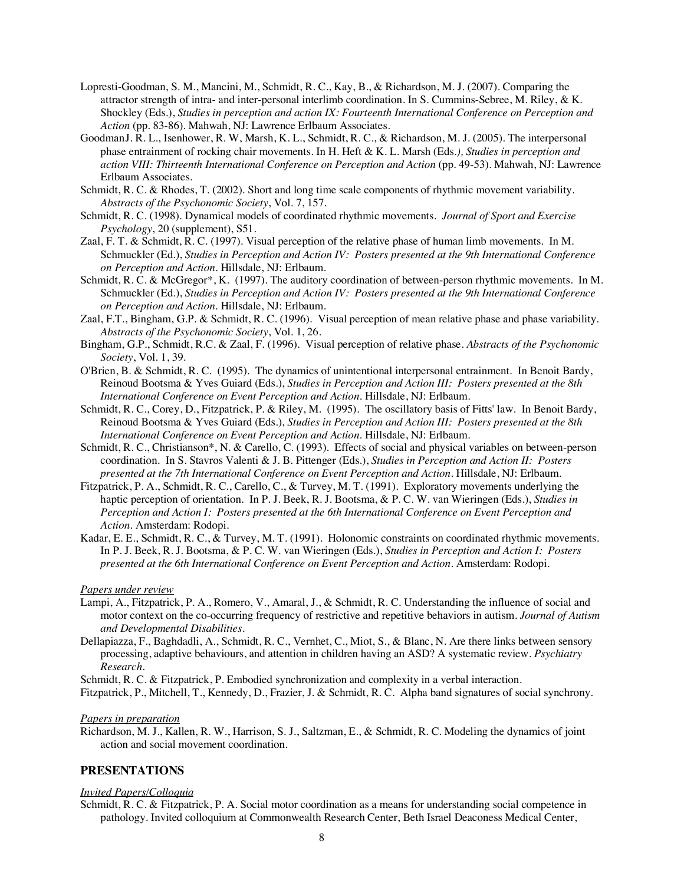- Lopresti-Goodman, S. M., Mancini, M., Schmidt, R. C., Kay, B., & Richardson, M. J. (2007). Comparing the attractor strength of intra- and inter-personal interlimb coordination. In S. Cummins-Sebree, M. Riley, & K. Shockley (Eds.), *Studies in perception and action IX: Fourteenth International Conference on Perception and Action* (pp. 83-86). Mahwah, NJ: Lawrence Erlbaum Associates.
- GoodmanJ. R. L., Isenhower, R. W, Marsh, K. L., Schmidt, R. C., & Richardson, M. J. (2005). The interpersonal phase entrainment of rocking chair movements. In H. Heft & K. L. Marsh (Eds*.), Studies in perception and action VIII: Thirteenth International Conference on Perception and Action* (pp. 49-53). Mahwah, NJ: Lawrence Erlbaum Associates.
- Schmidt, R. C. & Rhodes, T. (2002). Short and long time scale components of rhythmic movement variability. *Abstracts of the Psychonomic Society*, Vol. 7, 157.
- Schmidt, R. C. (1998). Dynamical models of coordinated rhythmic movements. *Journal of Sport and Exercise Psychology*, 20 (supplement), S51.
- Zaal, F. T. & Schmidt, R. C. (1997). Visual perception of the relative phase of human limb movements. In M. Schmuckler (Ed.), *Studies in Perception and Action IV: Posters presented at the 9th International Conference on Perception and Action*. Hillsdale, NJ: Erlbaum.
- Schmidt, R. C. & McGregor\*, K. (1997). The auditory coordination of between-person rhythmic movements. In M. Schmuckler (Ed.), *Studies in Perception and Action IV: Posters presented at the 9th International Conference on Perception and Action*. Hillsdale, NJ: Erlbaum.
- Zaal, F.T., Bingham, G.P. & Schmidt, R. C. (1996). Visual perception of mean relative phase and phase variability. *Abstracts of the Psychonomic Society*, Vol. 1, 26.
- Bingham, G.P., Schmidt, R.C. & Zaal, F. (1996). Visual perception of relative phase. *Abstracts of the Psychonomic Society*, Vol. 1, 39.
- O'Brien, B. & Schmidt, R. C. (1995). The dynamics of unintentional interpersonal entrainment. In Benoit Bardy, Reinoud Bootsma & Yves Guiard (Eds.), *Studies in Perception and Action III: Posters presented at the 8th International Conference on Event Perception and Action*. Hillsdale, NJ: Erlbaum.
- Schmidt, R. C., Corey, D., Fitzpatrick, P. & Riley, M. (1995). The oscillatory basis of Fitts' law. In Benoit Bardy, Reinoud Bootsma & Yves Guiard (Eds.), *Studies in Perception and Action III: Posters presented at the 8th International Conference on Event Perception and Action*. Hillsdale, NJ: Erlbaum.
- Schmidt, R. C., Christianson\*, N. & Carello, C. (1993). Effects of social and physical variables on between-person coordination. In S. Stavros Valenti & J. B. Pittenger (Eds.), *Studies in Perception and Action II: Posters presented at the 7th International Conference on Event Perception and Action*. Hillsdale, NJ: Erlbaum.
- Fitzpatrick, P. A., Schmidt, R. C., Carello, C., & Turvey, M. T. (1991). Exploratory movements underlying the haptic perception of orientation. In P. J. Beek, R. J. Bootsma, & P. C. W. van Wieringen (Eds.), *Studies in Perception and Action I: Posters presented at the 6th International Conference on Event Perception and Action*. Amsterdam: Rodopi.
- Kadar, E. E., Schmidt, R. C., & Turvey, M. T. (1991). Holonomic constraints on coordinated rhythmic movements. In P. J. Beek, R. J. Bootsma, & P. C. W. van Wieringen (Eds.), *Studies in Perception and Action I: Posters presented at the 6th International Conference on Event Perception and Action*. Amsterdam: Rodopi.

#### *Papers under review*

- Lampi, A., Fitzpatrick, P. A., Romero, V., Amaral, J., & Schmidt, R. C. Understanding the influence of social and motor context on the co-occurring frequency of restrictive and repetitive behaviors in autism. *Journal of Autism and Developmental Disabilities*.
- Dellapiazza, F., Baghdadli, A., Schmidt, R. C., Vernhet, C., Miot, S., & Blanc, N. Are there links between sensory processing, adaptive behaviours, and attention in children having an ASD? A systematic review. *Psychiatry Research.*

Schmidt, R. C. & Fitzpatrick, P. Embodied synchronization and complexity in a verbal interaction.

Fitzpatrick, P., Mitchell, T., Kennedy, D., Frazier, J. & Schmidt, R. C. Alpha band signatures of social synchrony.

#### *Papers in preparation*

Richardson, M. J., Kallen, R. W., Harrison, S. J., Saltzman, E., & Schmidt, R. C. Modeling the dynamics of joint action and social movement coordination.

## **PRESENTATIONS**

#### *Invited Papers/Colloquia*

Schmidt, R. C. & Fitzpatrick, P. A. Social motor coordination as a means for understanding social competence in pathology. Invited colloquium at Commonwealth Research Center, Beth Israel Deaconess Medical Center,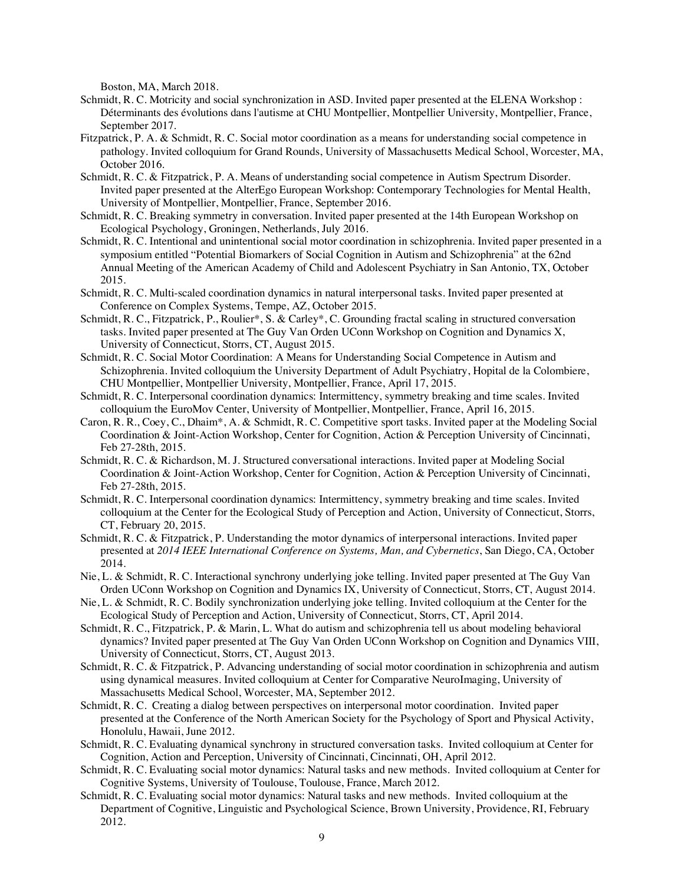Boston, MA, March 2018.

- Schmidt, R. C. Motricity and social synchronization in ASD. Invited paper presented at the ELENA Workshop : Déterminants des évolutions dans l'autisme at CHU Montpellier, Montpellier University, Montpellier, France, September 2017.
- Fitzpatrick, P. A. & Schmidt, R. C. Social motor coordination as a means for understanding social competence in pathology. Invited colloquium for Grand Rounds, University of Massachusetts Medical School, Worcester, MA, October 2016.
- Schmidt, R. C. & Fitzpatrick, P. A. Means of understanding social competence in Autism Spectrum Disorder. Invited paper presented at the AlterEgo European Workshop: Contemporary Technologies for Mental Health, University of Montpellier, Montpellier, France, September 2016.
- Schmidt, R. C. Breaking symmetry in conversation. Invited paper presented at the 14th European Workshop on Ecological Psychology, Groningen, Netherlands, July 2016.
- Schmidt, R. C. Intentional and unintentional social motor coordination in schizophrenia. Invited paper presented in a symposium entitled "Potential Biomarkers of Social Cognition in Autism and Schizophrenia" at the 62nd Annual Meeting of the American Academy of Child and Adolescent Psychiatry in San Antonio, TX, October 2015.
- Schmidt, R. C. Multi-scaled coordination dynamics in natural interpersonal tasks. Invited paper presented at Conference on Complex Systems, Tempe, AZ, October 2015.
- Schmidt, R. C., Fitzpatrick, P., Roulier\*, S. & Carley\*, C. Grounding fractal scaling in structured conversation tasks. Invited paper presented at The Guy Van Orden UConn Workshop on Cognition and Dynamics X, University of Connecticut, Storrs, CT, August 2015.
- Schmidt, R. C. Social Motor Coordination: A Means for Understanding Social Competence in Autism and Schizophrenia. Invited colloquium the University Department of Adult Psychiatry, Hopital de la Colombiere, CHU Montpellier, Montpellier University, Montpellier, France, April 17, 2015.
- Schmidt, R. C. Interpersonal coordination dynamics: Intermittency, symmetry breaking and time scales. Invited colloquium the EuroMov Center, University of Montpellier, Montpellier, France, April 16, 2015.
- Caron, R. R., Coey, C., Dhaim\*, A. & Schmidt, R. C. Competitive sport tasks. Invited paper at the Modeling Social Coordination & Joint-Action Workshop, Center for Cognition, Action & Perception University of Cincinnati, Feb 27-28th, 2015.
- Schmidt, R. C. & Richardson, M. J. Structured conversational interactions. Invited paper at Modeling Social Coordination & Joint-Action Workshop, Center for Cognition, Action & Perception University of Cincinnati, Feb 27-28th, 2015.
- Schmidt, R. C. Interpersonal coordination dynamics: Intermittency, symmetry breaking and time scales. Invited colloquium at the Center for the Ecological Study of Perception and Action, University of Connecticut, Storrs, CT, February 20, 2015.
- Schmidt, R. C. & Fitzpatrick, P. Understanding the motor dynamics of interpersonal interactions. Invited paper presented at *2014 IEEE International Conference on Systems, Man, and Cybernetics*, San Diego, CA, October 2014.
- Nie, L. & Schmidt, R. C. Interactional synchrony underlying joke telling. Invited paper presented at The Guy Van Orden UConn Workshop on Cognition and Dynamics IX, University of Connecticut, Storrs, CT, August 2014.
- Nie, L. & Schmidt, R. C. Bodily synchronization underlying joke telling. Invited colloquium at the Center for the Ecological Study of Perception and Action, University of Connecticut, Storrs, CT, April 2014.
- Schmidt, R. C., Fitzpatrick, P. & Marin, L. What do autism and schizophrenia tell us about modeling behavioral dynamics? Invited paper presented at The Guy Van Orden UConn Workshop on Cognition and Dynamics VIII, University of Connecticut, Storrs, CT, August 2013.
- Schmidt, R. C. & Fitzpatrick, P. Advancing understanding of social motor coordination in schizophrenia and autism using dynamical measures. Invited colloquium at Center for Comparative NeuroImaging, University of Massachusetts Medical School, Worcester, MA, September 2012.
- Schmidt, R. C. Creating a dialog between perspectives on interpersonal motor coordination. Invited paper presented at the Conference of the North American Society for the Psychology of Sport and Physical Activity, Honolulu, Hawaii, June 2012.
- Schmidt, R. C. Evaluating dynamical synchrony in structured conversation tasks. Invited colloquium at Center for Cognition, Action and Perception, University of Cincinnati, Cincinnati, OH, April 2012.
- Schmidt, R. C. Evaluating social motor dynamics: Natural tasks and new methods. Invited colloquium at Center for Cognitive Systems, University of Toulouse, Toulouse, France, March 2012.
- Schmidt, R. C. Evaluating social motor dynamics: Natural tasks and new methods. Invited colloquium at the Department of Cognitive, Linguistic and Psychological Science, Brown University, Providence, RI, February 2012.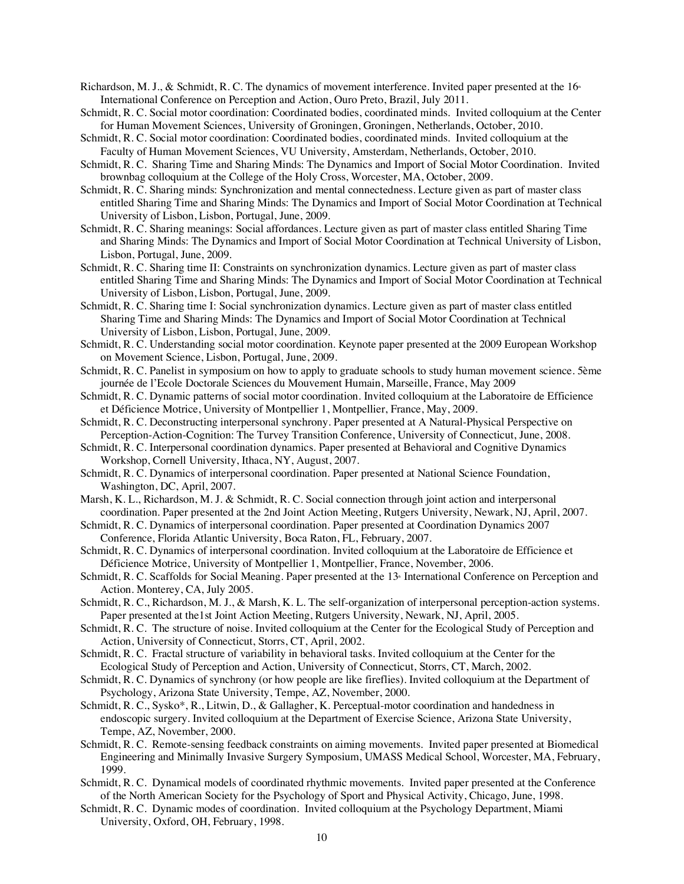- Richardson, M. J., & Schmidt, R. C. The dynamics of movement interference. Invited paper presented at the  $16<sup>*</sup>$ International Conference on Perception and Action, Ouro Preto, Brazil, July 2011.
- Schmidt, R. C. Social motor coordination: Coordinated bodies, coordinated minds. Invited colloquium at the Center for Human Movement Sciences, University of Groningen, Groningen, Netherlands, October, 2010.
- Schmidt, R. C. Social motor coordination: Coordinated bodies, coordinated minds. Invited colloquium at the Faculty of Human Movement Sciences, VU University, Amsterdam, Netherlands, October, 2010.
- Schmidt, R. C. Sharing Time and Sharing Minds: The Dynamics and Import of Social Motor Coordination. Invited brownbag colloquium at the College of the Holy Cross, Worcester, MA, October, 2009.
- Schmidt, R. C. Sharing minds: Synchronization and mental connectedness. Lecture given as part of master class entitled Sharing Time and Sharing Minds: The Dynamics and Import of Social Motor Coordination at Technical University of Lisbon, Lisbon, Portugal, June, 2009.
- Schmidt, R. C. Sharing meanings: Social affordances. Lecture given as part of master class entitled Sharing Time and Sharing Minds: The Dynamics and Import of Social Motor Coordination at Technical University of Lisbon, Lisbon, Portugal, June, 2009.
- Schmidt, R. C. Sharing time II: Constraints on synchronization dynamics. Lecture given as part of master class entitled Sharing Time and Sharing Minds: The Dynamics and Import of Social Motor Coordination at Technical University of Lisbon, Lisbon, Portugal, June, 2009.
- Schmidt, R. C. Sharing time I: Social synchronization dynamics. Lecture given as part of master class entitled Sharing Time and Sharing Minds: The Dynamics and Import of Social Motor Coordination at Technical University of Lisbon, Lisbon, Portugal, June, 2009.
- Schmidt, R. C. Understanding social motor coordination. Keynote paper presented at the 2009 European Workshop on Movement Science, Lisbon, Portugal, June, 2009.
- Schmidt, R. C. Panelist in symposium on how to apply to graduate schools to study human movement science. 5ème journée de l'Ecole Doctorale Sciences du Mouvement Humain, Marseille, France, May 2009
- Schmidt, R. C. Dynamic patterns of social motor coordination. Invited colloquium at the Laboratoire de Efficience et Déficience Motrice, University of Montpellier 1, Montpellier, France, May, 2009.
- Schmidt, R. C. Deconstructing interpersonal synchrony. Paper presented at A Natural-Physical Perspective on Perception-Action-Cognition: The Turvey Transition Conference, University of Connecticut, June, 2008.
- Schmidt, R. C. Interpersonal coordination dynamics. Paper presented at Behavioral and Cognitive Dynamics Workshop, Cornell University, Ithaca, NY, August, 2007.
- Schmidt, R. C. Dynamics of interpersonal coordination. Paper presented at National Science Foundation, Washington, DC, April, 2007.
- Marsh, K. L., Richardson, M. J. & Schmidt, R. C. Social connection through joint action and interpersonal coordination*.* Paper presented at the 2nd Joint Action Meeting, Rutgers University, Newark, NJ, April, 2007.
- Schmidt, R. C. Dynamics of interpersonal coordination. Paper presented at Coordination Dynamics 2007 Conference, Florida Atlantic University, Boca Raton, FL, February, 2007.
- Schmidt, R. C. Dynamics of interpersonal coordination. Invited colloquium at the Laboratoire de Efficience et Déficience Motrice, University of Montpellier 1, Montpellier, France, November, 2006.
- Schmidt, R. C. Scaffolds for Social Meaning. Paper presented at the 13<sup>th</sup> International Conference on Perception and Action. Monterey, CA, July 2005.
- Schmidt, R. C., Richardson, M. J., & Marsh, K. L. The self-organization of interpersonal perception-action systems*.* Paper presented at the1st Joint Action Meeting, Rutgers University, Newark, NJ, April, 2005.
- Schmidt, R. C. The structure of noise. Invited colloquium at the Center for the Ecological Study of Perception and Action, University of Connecticut, Storrs, CT, April, 2002.
- Schmidt, R. C. Fractal structure of variability in behavioral tasks. Invited colloquium at the Center for the Ecological Study of Perception and Action, University of Connecticut, Storrs, CT, March, 2002.
- Schmidt, R. C. Dynamics of synchrony (or how people are like fireflies). Invited colloquium at the Department of Psychology, Arizona State University, Tempe, AZ, November, 2000.
- Schmidt, R. C., Sysko\*, R., Litwin, D., & Gallagher, K. Perceptual-motor coordination and handedness in endoscopic surgery. Invited colloquium at the Department of Exercise Science, Arizona State University, Tempe, AZ, November, 2000.
- Schmidt, R. C. Remote-sensing feedback constraints on aiming movements. Invited paper presented at Biomedical Engineering and Minimally Invasive Surgery Symposium, UMASS Medical School, Worcester, MA, February, 1999.
- Schmidt, R. C. Dynamical models of coordinated rhythmic movements. Invited paper presented at the Conference of the North American Society for the Psychology of Sport and Physical Activity, Chicago, June, 1998.
- Schmidt, R. C. Dynamic modes of coordination. Invited colloquium at the Psychology Department, Miami University, Oxford, OH, February, 1998.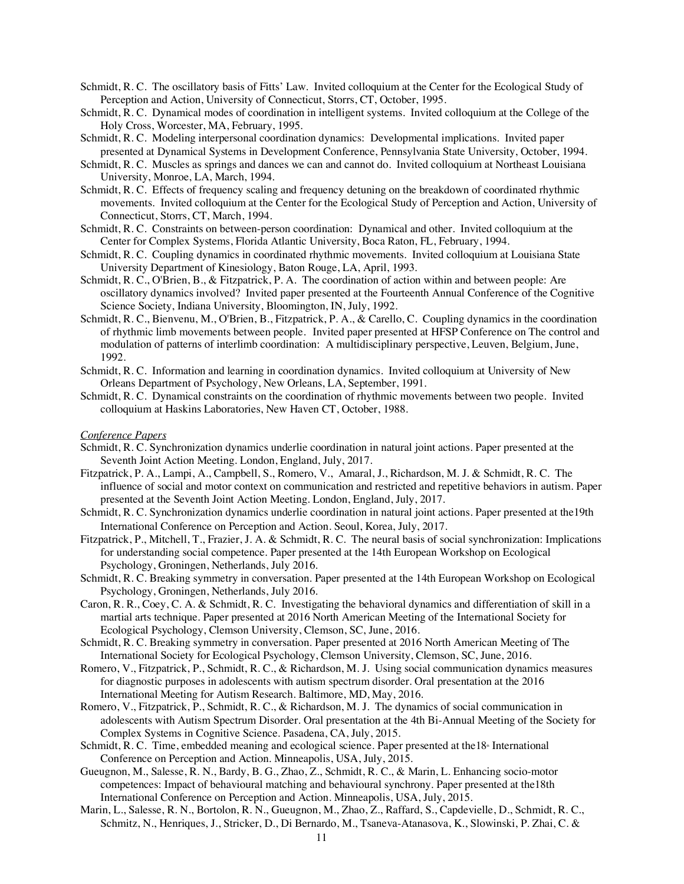- Schmidt, R. C. The oscillatory basis of Fitts' Law. Invited colloquium at the Center for the Ecological Study of Perception and Action, University of Connecticut, Storrs, CT, October, 1995.
- Schmidt, R. C. Dynamical modes of coordination in intelligent systems. Invited colloquium at the College of the Holy Cross, Worcester, MA, February, 1995.
- Schmidt, R. C. Modeling interpersonal coordination dynamics: Developmental implications. Invited paper presented at Dynamical Systems in Development Conference, Pennsylvania State University, October, 1994.
- Schmidt, R. C. Muscles as springs and dances we can and cannot do. Invited colloquium at Northeast Louisiana University, Monroe, LA, March, 1994.
- Schmidt, R. C. Effects of frequency scaling and frequency detuning on the breakdown of coordinated rhythmic movements. Invited colloquium at the Center for the Ecological Study of Perception and Action, University of Connecticut, Storrs, CT, March, 1994.
- Schmidt, R. C. Constraints on between-person coordination: Dynamical and other. Invited colloquium at the Center for Complex Systems, Florida Atlantic University, Boca Raton, FL, February, 1994.
- Schmidt, R. C. Coupling dynamics in coordinated rhythmic movements. Invited colloquium at Louisiana State University Department of Kinesiology, Baton Rouge, LA, April, 1993.
- Schmidt, R. C., O'Brien, B., & Fitzpatrick, P. A. The coordination of action within and between people: Are oscillatory dynamics involved? Invited paper presented at the Fourteenth Annual Conference of the Cognitive Science Society, Indiana University, Bloomington, IN, July, 1992.
- Schmidt, R. C., Bienvenu, M., O'Brien, B., Fitzpatrick, P. A., & Carello, C. Coupling dynamics in the coordination of rhythmic limb movements between people. Invited paper presented at HFSP Conference on The control and modulation of patterns of interlimb coordination: A multidisciplinary perspective, Leuven, Belgium, June, 1992.
- Schmidt, R. C. Information and learning in coordination dynamics. Invited colloquium at University of New Orleans Department of Psychology, New Orleans, LA, September, 1991.
- Schmidt, R. C. Dynamical constraints on the coordination of rhythmic movements between two people. Invited colloquium at Haskins Laboratories, New Haven CT, October, 1988.

#### *Conference Papers*

- Schmidt, R. C. Synchronization dynamics underlie coordination in natural joint actions. Paper presented at the Seventh Joint Action Meeting. London, England, July, 2017.
- Fitzpatrick, P. A., Lampi, A., Campbell, S., Romero, V., Amaral, J., Richardson, M. J. & Schmidt, R. C. The influence of social and motor context on communication and restricted and repetitive behaviors in autism. Paper presented at the Seventh Joint Action Meeting. London, England, July, 2017.
- Schmidt, R. C. Synchronization dynamics underlie coordination in natural joint actions. Paper presented at the19th International Conference on Perception and Action. Seoul, Korea, July, 2017.
- Fitzpatrick, P., Mitchell, T., Frazier, J. A. & Schmidt, R. C. The neural basis of social synchronization: Implications for understanding social competence. Paper presented at the 14th European Workshop on Ecological Psychology, Groningen, Netherlands, July 2016.
- Schmidt, R. C. Breaking symmetry in conversation. Paper presented at the 14th European Workshop on Ecological Psychology, Groningen, Netherlands, July 2016.
- Caron, R. R., Coey, C. A. & Schmidt, R. C. Investigating the behavioral dynamics and differentiation of skill in a martial arts technique. Paper presented at 2016 North American Meeting of the International Society for Ecological Psychology, Clemson University, Clemson, SC, June, 2016.
- Schmidt, R. C. Breaking symmetry in conversation. Paper presented at 2016 North American Meeting of The International Society for Ecological Psychology, Clemson University, Clemson, SC, June, 2016.
- Romero, V., Fitzpatrick, P., Schmidt, R. C., & Richardson, M. J. Using social communication dynamics measures for diagnostic purposes in adolescents with autism spectrum disorder. Oral presentation at the 2016 International Meeting for Autism Research. Baltimore, MD, May, 2016.
- Romero, V., Fitzpatrick, P., Schmidt, R. C., & Richardson, M. J. The dynamics of social communication in adolescents with Autism Spectrum Disorder. Oral presentation at the 4th Bi-Annual Meeting of the Society for Complex Systems in Cognitive Science. Pasadena, CA, July, 2015.
- Schmidt, R. C. Time, embedded meaning and ecological science. Paper presented at the 18<sup>th</sup> International Conference on Perception and Action. Minneapolis, USA, July, 2015.
- Gueugnon, M., Salesse, R. N., Bardy, B. G., Zhao, Z., Schmidt, R. C., & Marin, L. Enhancing socio-motor competences: Impact of behavioural matching and behavioural synchrony. Paper presented at the18th International Conference on Perception and Action. Minneapolis, USA, July, 2015.
- Marin, L., Salesse, R. N., Bortolon, R. N., Gueugnon, M., Zhao, Z., Raffard, S., Capdevielle, D., Schmidt, R. C., Schmitz, N., Henriques, J., Stricker, D., Di Bernardo, M., Tsaneva-Atanasova, K., Slowinski, P. Zhai, C. &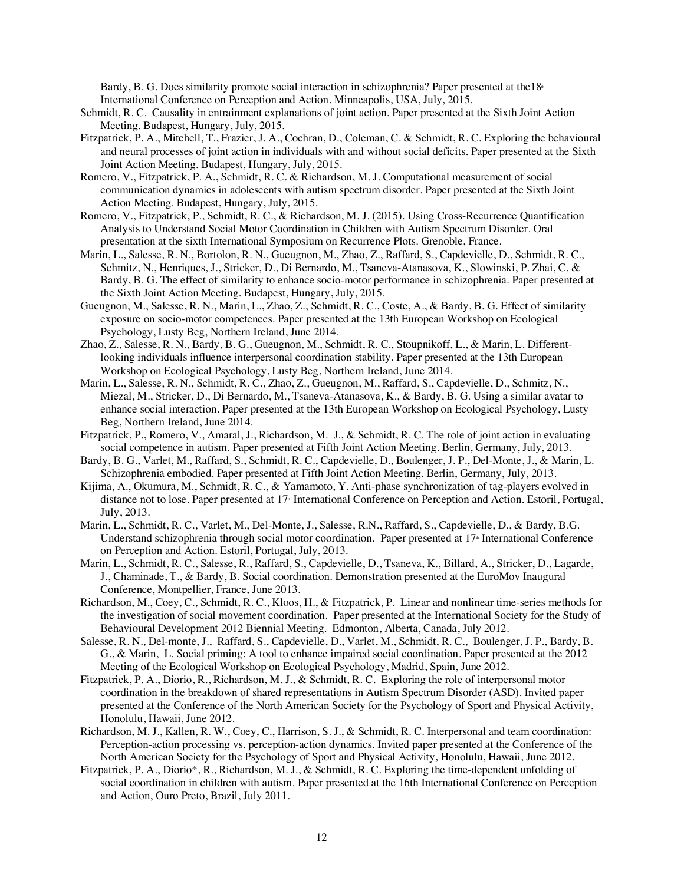Bardy, B. G. Does similarity promote social interaction in schizophrenia? Paper presented at the  $18<sup>a</sup>$ International Conference on Perception and Action. Minneapolis, USA, July, 2015.

- Schmidt, R. C. Causality in entrainment explanations of joint action. Paper presented at the Sixth Joint Action Meeting. Budapest, Hungary, July, 2015.
- Fitzpatrick, P. A., Mitchell, T., Frazier, J. A., Cochran, D., Coleman, C. & Schmidt, R. C. Exploring the behavioural and neural processes of joint action in individuals with and without social deficits. Paper presented at the Sixth Joint Action Meeting. Budapest, Hungary, July, 2015.
- Romero, V., Fitzpatrick, P. A., Schmidt, R. C. & Richardson, M. J. Computational measurement of social communication dynamics in adolescents with autism spectrum disorder. Paper presented at the Sixth Joint Action Meeting. Budapest, Hungary, July, 2015.
- Romero, V., Fitzpatrick, P., Schmidt, R. C., & Richardson, M. J. (2015). Using Cross-Recurrence Quantification Analysis to Understand Social Motor Coordination in Children with Autism Spectrum Disorder. Oral presentation at the sixth International Symposium on Recurrence Plots. Grenoble, France.
- Marin, L., Salesse, R. N., Bortolon, R. N., Gueugnon, M., Zhao, Z., Raffard, S., Capdevielle, D., Schmidt, R. C., Schmitz, N., Henriques, J., Stricker, D., Di Bernardo, M., Tsaneva-Atanasova, K., Slowinski, P. Zhai, C. & Bardy, B. G. The effect of similarity to enhance socio-motor performance in schizophrenia. Paper presented at the Sixth Joint Action Meeting. Budapest, Hungary, July, 2015.
- Gueugnon, M., Salesse, R. N., Marin, L., Zhao, Z., Schmidt, R. C., Coste, A., & Bardy, B. G. Effect of similarity exposure on socio-motor competences. Paper presented at the 13th European Workshop on Ecological Psychology, Lusty Beg, Northern Ireland, June 2014.
- Zhao, Z., Salesse, R. N., Bardy, B. G., Gueugnon, M., Schmidt, R. C., Stoupnikoff, L., & Marin, L. Differentlooking individuals influence interpersonal coordination stability. Paper presented at the 13th European Workshop on Ecological Psychology, Lusty Beg, Northern Ireland, June 2014.
- Marin, L., Salesse, R. N., Schmidt, R. C., Zhao, Z., Gueugnon, M., Raffard, S., Capdevielle, D., Schmitz, N., Miezal, M., Stricker, D., Di Bernardo, M., Tsaneva-Atanasova, K., & Bardy, B. G. Using a similar avatar to enhance social interaction. Paper presented at the 13th European Workshop on Ecological Psychology, Lusty Beg, Northern Ireland, June 2014.
- Fitzpatrick, P., Romero, V., Amaral, J., Richardson, M. J., & Schmidt, R. C. The role of joint action in evaluating social competence in autism. Paper presented at Fifth Joint Action Meeting. Berlin, Germany, July, 2013.
- Bardy, B. G., Varlet, M., Raffard, S., Schmidt, R. C., Capdevielle, D., Boulenger, J. P., Del-Monte, J., & Marin, L. Schizophrenia embodied. Paper presented at Fifth Joint Action Meeting. Berlin, Germany, July, 2013.
- Kijima, A., Okumura, M., Schmidt, R. C., & Yamamoto, Y. Anti-phase synchronization of tag-players evolved in distance not to lose. Paper presented at 17<sup> $\text{ }$ </sup> International Conference on Perception and Action. Estoril, Portugal, July, 2013.
- Marin, L., Schmidt, R. C., Varlet, M., Del-Monte, J., Salesse, R.N., Raffard, S., Capdevielle, D., & Bardy, B.G. Understand schizophrenia through social motor coordination. Paper presented at 17<sup>th</sup> International Conference on Perception and Action. Estoril, Portugal, July, 2013.
- Marin, L., Schmidt, R. C., Salesse, R., Raffard, S., Capdevielle, D., Tsaneva, K., Billard, A., Stricker, D., Lagarde, J., Chaminade, T., & Bardy, B. Social coordination. Demonstration presented at the EuroMov Inaugural Conference, Montpellier, France, June 2013.
- Richardson, M., Coey, C., Schmidt, R. C., Kloos, H., & Fitzpatrick, P. Linear and nonlinear time-series methods for the investigation of social movement coordination. Paper presented at the International Society for the Study of Behavioural Development 2012 Biennial Meeting. Edmonton, Alberta, Canada, July 2012.
- Salesse, R. N., Del-monte, J., Raffard, S., Capdevielle, D., Varlet, M., Schmidt, R. C., Boulenger, J. P., Bardy, B. G., & Marin, L. Social priming: A tool to enhance impaired social coordination. Paper presented at the 2012 Meeting of the Ecological Workshop on Ecological Psychology, Madrid, Spain, June 2012.
- Fitzpatrick, P. A., Diorio, R., Richardson, M. J., & Schmidt, R. C. Exploring the role of interpersonal motor coordination in the breakdown of shared representations in Autism Spectrum Disorder (ASD). Invited paper presented at the Conference of the North American Society for the Psychology of Sport and Physical Activity, Honolulu, Hawaii, June 2012.
- Richardson, M. J., Kallen, R. W., Coey, C., Harrison, S. J., & Schmidt, R. C. Interpersonal and team coordination: Perception-action processing vs. perception-action dynamics. Invited paper presented at the Conference of the North American Society for the Psychology of Sport and Physical Activity, Honolulu, Hawaii, June 2012.
- Fitzpatrick, P. A., Diorio\*, R., Richardson, M. J., & Schmidt, R. C. Exploring the time-dependent unfolding of social coordination in children with autism. Paper presented at the 16th International Conference on Perception and Action, Ouro Preto, Brazil, July 2011.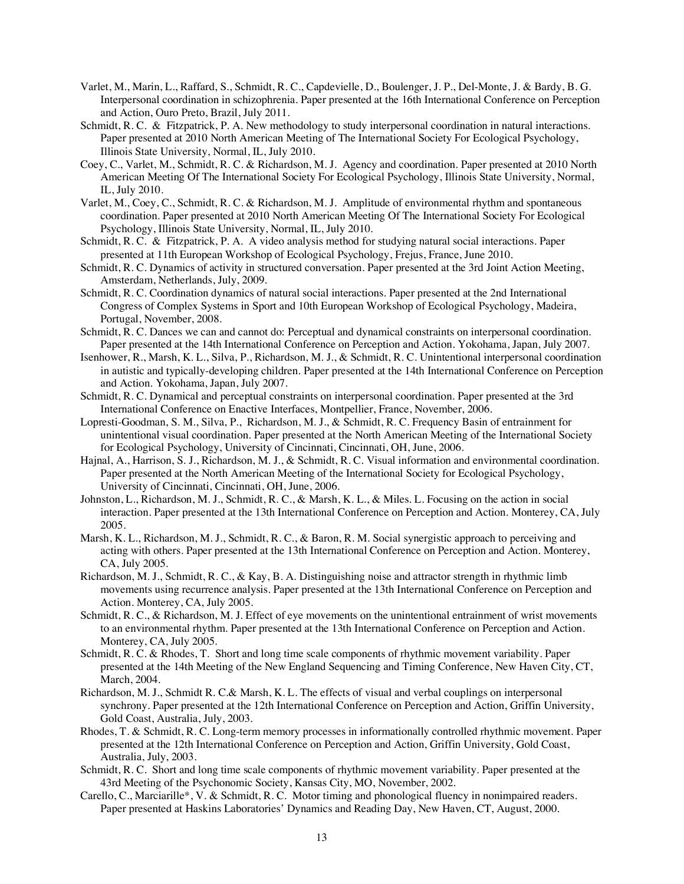- Varlet, M., Marin, L., Raffard, S., Schmidt, R. C., Capdevielle, D., Boulenger, J. P., Del-Monte, J. & Bardy, B. G. Interpersonal coordination in schizophrenia. Paper presented at the 16th International Conference on Perception and Action, Ouro Preto, Brazil, July 2011.
- Schmidt, R. C. & Fitzpatrick, P. A. New methodology to study interpersonal coordination in natural interactions. Paper presented at 2010 North American Meeting of The International Society For Ecological Psychology, Illinois State University, Normal, IL, July 2010.
- Coey, C., Varlet, M., Schmidt, R. C. & Richardson, M. J. Agency and coordination. Paper presented at 2010 North American Meeting Of The International Society For Ecological Psychology, Illinois State University, Normal, IL, July 2010.
- Varlet, M., Coey, C., Schmidt, R. C. & Richardson, M. J. Amplitude of environmental rhythm and spontaneous coordination. Paper presented at 2010 North American Meeting Of The International Society For Ecological Psychology, Illinois State University, Normal, IL, July 2010.
- Schmidt, R. C. & Fitzpatrick, P. A. A video analysis method for studying natural social interactions. Paper presented at 11th European Workshop of Ecological Psychology, Frejus, France, June 2010.
- Schmidt, R. C. Dynamics of activity in structured conversation. Paper presented at the 3rd Joint Action Meeting, Amsterdam, Netherlands, July, 2009.
- Schmidt, R. C. Coordination dynamics of natural social interactions. Paper presented at the 2nd International Congress of Complex Systems in Sport and 10th European Workshop of Ecological Psychology, Madeira, Portugal, November, 2008.
- Schmidt, R. C. Dances we can and cannot do: Perceptual and dynamical constraints on interpersonal coordination. Paper presented at the 14th International Conference on Perception and Action. Yokohama, Japan, July 2007.
- Isenhower, R., Marsh, K. L., Silva, P., Richardson, M. J., & Schmidt, R. C. Unintentional interpersonal coordination in autistic and typically-developing children. Paper presented at the 14th International Conference on Perception and Action. Yokohama, Japan, July 2007.
- Schmidt, R. C. Dynamical and perceptual constraints on interpersonal coordination. Paper presented at the 3rd International Conference on Enactive Interfaces, Montpellier, France, November, 2006.
- Lopresti-Goodman, S. M., Silva, P., Richardson, M. J., & Schmidt, R. C. Frequency Basin of entrainment for unintentional visual coordination. Paper presented at the North American Meeting of the International Society for Ecological Psychology, University of Cincinnati, Cincinnati, OH, June, 2006.
- Hajnal, A., Harrison, S. J., Richardson, M. J., & Schmidt, R. C. Visual information and environmental coordination. Paper presented at the North American Meeting of the International Society for Ecological Psychology, University of Cincinnati, Cincinnati, OH, June, 2006.
- Johnston, L., Richardson, M. J., Schmidt, R. C., & Marsh, K. L., & Miles. L. Focusing on the action in social interaction. Paper presented at the 13th International Conference on Perception and Action. Monterey, CA, July 2005.
- Marsh, K. L., Richardson, M. J., Schmidt, R. C., & Baron, R. M. Social synergistic approach to perceiving and acting with others. Paper presented at the 13th International Conference on Perception and Action. Monterey, CA, July 2005.
- Richardson, M. J., Schmidt, R. C., & Kay, B. A. Distinguishing noise and attractor strength in rhythmic limb movements using recurrence analysis. Paper presented at the 13th International Conference on Perception and Action. Monterey, CA, July 2005.
- Schmidt, R. C., & Richardson, M. J. Effect of eye movements on the unintentional entrainment of wrist movements to an environmental rhythm. Paper presented at the 13th International Conference on Perception and Action. Monterey, CA, July 2005.
- Schmidt, R. C. & Rhodes, T. Short and long time scale components of rhythmic movement variability. Paper presented at the 14th Meeting of the New England Sequencing and Timing Conference, New Haven City, CT, March, 2004.
- Richardson, M. J., Schmidt R. C.& Marsh, K. L. The effects of visual and verbal couplings on interpersonal synchrony. Paper presented at the 12th International Conference on Perception and Action, Griffin University, Gold Coast, Australia, July, 2003.
- Rhodes, T. & Schmidt, R. C. Long-term memory processes in informationally controlled rhythmic movement. Paper presented at the 12th International Conference on Perception and Action, Griffin University, Gold Coast, Australia, July, 2003.
- Schmidt, R. C. Short and long time scale components of rhythmic movement variability. Paper presented at the 43rd Meeting of the Psychonomic Society, Kansas City, MO, November, 2002.
- Carello, C., Marciarille\*, V. & Schmidt, R. C. Motor timing and phonological fluency in nonimpaired readers. Paper presented at Haskins Laboratories' Dynamics and Reading Day, New Haven, CT, August, 2000.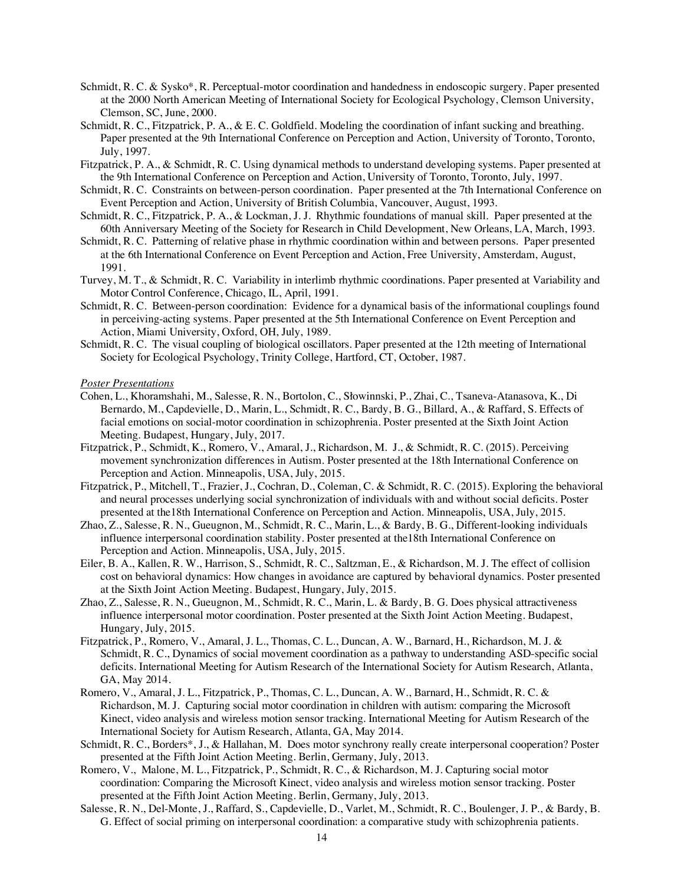- Schmidt, R. C. & Sysko\*, R. Perceptual-motor coordination and handedness in endoscopic surgery. Paper presented at the 2000 North American Meeting of International Society for Ecological Psychology, Clemson University, Clemson, SC, June, 2000.
- Schmidt, R. C., Fitzpatrick, P. A., & E. C. Goldfield. Modeling the coordination of infant sucking and breathing. Paper presented at the 9th International Conference on Perception and Action, University of Toronto, Toronto, July, 1997.
- Fitzpatrick, P. A., & Schmidt, R. C. Using dynamical methods to understand developing systems. Paper presented at the 9th International Conference on Perception and Action, University of Toronto, Toronto, July, 1997.
- Schmidt, R. C. Constraints on between-person coordination. Paper presented at the 7th International Conference on Event Perception and Action, University of British Columbia, Vancouver, August, 1993.
- Schmidt, R. C., Fitzpatrick, P. A., & Lockman, J. J. Rhythmic foundations of manual skill. Paper presented at the 60th Anniversary Meeting of the Society for Research in Child Development, New Orleans, LA, March, 1993.
- Schmidt, R. C. Patterning of relative phase in rhythmic coordination within and between persons. Paper presented at the 6th International Conference on Event Perception and Action, Free University, Amsterdam, August, 1991.
- Turvey, M. T., & Schmidt, R. C. Variability in interlimb rhythmic coordinations. Paper presented at Variability and Motor Control Conference, Chicago, IL, April, 1991.
- Schmidt, R. C. Between-person coordination: Evidence for a dynamical basis of the informational couplings found in perceiving-acting systems. Paper presented at the 5th International Conference on Event Perception and Action, Miami University, Oxford, OH, July, 1989.
- Schmidt, R. C. The visual coupling of biological oscillators. Paper presented at the 12th meeting of International Society for Ecological Psychology, Trinity College, Hartford, CT, October, 1987.

#### *Poster Presentations*

- Cohen, L., Khoramshahi, M., Salesse, R. N., Bortolon, C., Słowinnski, P., Zhai, C., Tsaneva-Atanasova, K., Di Bernardo, M., Capdevielle, D., Marin, L., Schmidt, R. C., Bardy, B. G., Billard, A., & Raffard, S. Effects of facial emotions on social-motor coordination in schizophrenia. Poster presented at the Sixth Joint Action Meeting. Budapest, Hungary, July, 2017.
- Fitzpatrick, P., Schmidt, K., Romero, V., Amaral, J., Richardson, M. J., & Schmidt, R. C. (2015). Perceiving movement synchronization differences in Autism. Poster presented at the 18th International Conference on Perception and Action. Minneapolis, USA, July, 2015.
- Fitzpatrick, P., Mitchell, T., Frazier, J., Cochran, D., Coleman, C. & Schmidt, R. C. (2015). Exploring the behavioral and neural processes underlying social synchronization of individuals with and without social deficits. Poster presented at the18th International Conference on Perception and Action. Minneapolis, USA, July, 2015.
- Zhao, Z., Salesse, R. N., Gueugnon, M., Schmidt, R. C., Marin, L., & Bardy, B. G., Different-looking individuals influence interpersonal coordination stability. Poster presented at the18th International Conference on Perception and Action. Minneapolis, USA, July, 2015.
- Eiler, B. A., Kallen, R. W., Harrison, S., Schmidt, R. C., Saltzman, E., & Richardson, M. J. The effect of collision cost on behavioral dynamics: How changes in avoidance are captured by behavioral dynamics. Poster presented at the Sixth Joint Action Meeting. Budapest, Hungary, July, 2015.
- Zhao, Z., Salesse, R. N., Gueugnon, M., Schmidt, R. C., Marin, L. & Bardy, B. G. Does physical attractiveness influence interpersonal motor coordination. Poster presented at the Sixth Joint Action Meeting. Budapest, Hungary, July, 2015.
- Fitzpatrick, P., Romero, V., Amaral, J. L., Thomas, C. L., Duncan, A. W., Barnard, H., Richardson, M. J. & Schmidt, R. C., Dynamics of social movement coordination as a pathway to understanding ASD-specific social deficits. International Meeting for Autism Research of the International Society for Autism Research, Atlanta, GA, May 2014.
- Romero, V., Amaral, J. L., Fitzpatrick, P., Thomas, C. L., Duncan, A. W., Barnard, H., Schmidt, R. C. & Richardson, M. J. Capturing social motor coordination in children with autism: comparing the Microsoft Kinect, video analysis and wireless motion sensor tracking. International Meeting for Autism Research of the International Society for Autism Research, Atlanta, GA, May 2014.
- Schmidt, R. C., Borders\*, J., & Hallahan, M. Does motor synchrony really create interpersonal cooperation? Poster presented at the Fifth Joint Action Meeting. Berlin, Germany, July, 2013.
- Romero, V., Malone, M. L., Fitzpatrick, P., Schmidt, R. C., & Richardson, M. J. Capturing social motor coordination: Comparing the Microsoft Kinect, video analysis and wireless motion sensor tracking. Poster presented at the Fifth Joint Action Meeting. Berlin, Germany, July, 2013.
- Salesse, R. N., Del-Monte, J., Raffard, S., Capdevielle, D., Varlet, M., Schmidt, R. C., Boulenger, J. P., & Bardy, B. G. Effect of social priming on interpersonal coordination: a comparative study with schizophrenia patients.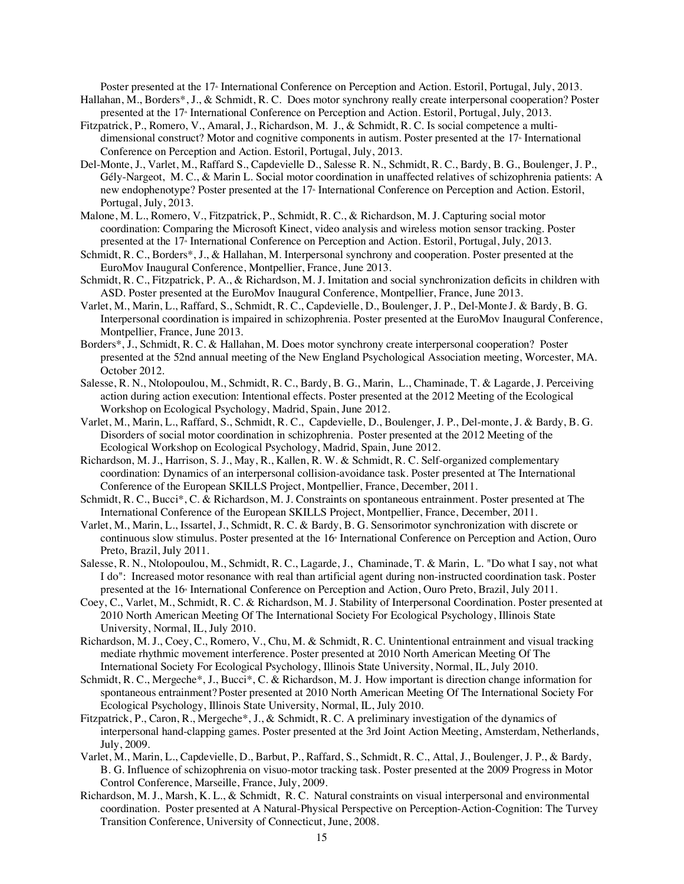Poster presented at the 17<sup>th</sup> International Conference on Perception and Action. Estoril, Portugal, July, 2013.

- Hallahan, M., Borders\*, J., & Schmidt, R. C. Does motor synchrony really create interpersonal cooperation? Poster presented at the 17<sup>th</sup> International Conference on Perception and Action. Estoril, Portugal, July, 2013.
- Fitzpatrick, P., Romero, V., Amaral, J., Richardson, M. J., & Schmidt, R. C. Is social competence a multidimensional construct? Motor and cognitive components in autism. Poster presented at the 17<sup>th</sup> International Conference on Perception and Action. Estoril, Portugal, July, 2013.
- Del-Monte, J., Varlet, M., Raffard S., Capdevielle D., Salesse R. N., Schmidt, R. C., Bardy, B. G., Boulenger, J. P., Gély-Nargeot, M. C., & Marin L. Social motor coordination in unaffected relatives of schizophrenia patients: A new endophenotype? Poster presented at the 17<sup>\*</sup> International Conference on Perception and Action. Estoril, Portugal, July, 2013.
- Malone, M. L., Romero, V., Fitzpatrick, P., Schmidt, R. C., & Richardson, M. J. Capturing social motor coordination: Comparing the Microsoft Kinect, video analysis and wireless motion sensor tracking. Poster presented at the 17<sup>th</sup> International Conference on Perception and Action. Estoril, Portugal, July, 2013.
- Schmidt, R. C., Borders\*, J., & Hallahan, M. Interpersonal synchrony and cooperation. Poster presented at the EuroMov Inaugural Conference, Montpellier, France, June 2013.
- Schmidt, R. C., Fitzpatrick, P. A., & Richardson, M. J. Imitation and social synchronization deficits in children with ASD. Poster presented at the EuroMov Inaugural Conference, Montpellier, France, June 2013.
- Varlet, M., Marin, L., Raffard, S., Schmidt, R. C., Capdevielle, D., Boulenger, J. P., Del-Monte J. & Bardy, B. G. Interpersonal coordination is impaired in schizophrenia. Poster presented at the EuroMov Inaugural Conference, Montpellier, France, June 2013.
- Borders\*, J., Schmidt, R. C. & Hallahan, M. Does motor synchrony create interpersonal cooperation? Poster presented at the 52nd annual meeting of the New England Psychological Association meeting, Worcester, MA. October 2012.
- Salesse, R. N., Ntolopoulou, M., Schmidt, R. C., Bardy, B. G., Marin, L., Chaminade, T. & Lagarde, J. Perceiving action during action execution: Intentional effects. Poster presented at the 2012 Meeting of the Ecological Workshop on Ecological Psychology, Madrid, Spain, June 2012.
- Varlet, M., Marin, L., Raffard, S., Schmidt, R. C., Capdevielle, D., Boulenger, J. P., Del-monte, J. & Bardy, B. G. Disorders of social motor coordination in schizophrenia. Poster presented at the 2012 Meeting of the Ecological Workshop on Ecological Psychology, Madrid, Spain, June 2012.
- Richardson, M. J., Harrison, S. J., May, R., Kallen, R. W. & Schmidt, R. C. Self-organized complementary coordination: Dynamics of an interpersonal collision-avoidance task. Poster presented at The International Conference of the European SKILLS Project, Montpellier, France, December, 2011.
- Schmidt, R. C., Bucci\*, C. & Richardson, M. J. Constraints on spontaneous entrainment. Poster presented at The International Conference of the European SKILLS Project, Montpellier, France, December, 2011.
- Varlet, M., Marin, L., Issartel, J., Schmidt, R. C. & Bardy, B. G. Sensorimotor synchronization with discrete or continuous slow stimulus. Poster presented at the 16<sup>th</sup> International Conference on Perception and Action, Ouro Preto, Brazil, July 2011.
- Salesse, R. N., Ntolopoulou, M., Schmidt, R. C., Lagarde, J., Chaminade, T. & Marin, L. "Do what I say, not what I do": Increased motor resonance with real than artificial agent during non-instructed coordination task. Poster presented at the 16<sup>th</sup> International Conference on Perception and Action, Ouro Preto, Brazil, July 2011.
- Coey, C., Varlet, M., Schmidt, R. C. & Richardson, M. J. Stability of Interpersonal Coordination. Poster presented at 2010 North American Meeting Of The International Society For Ecological Psychology, Illinois State University, Normal, IL, July 2010.
- Richardson, M. J., Coey, C., Romero, V., Chu, M. & Schmidt, R. C. Unintentional entrainment and visual tracking mediate rhythmic movement interference. Poster presented at 2010 North American Meeting Of The International Society For Ecological Psychology, Illinois State University, Normal, IL, July 2010.
- Schmidt, R. C., Mergeche\*, J., Bucci\*, C. & Richardson, M. J. How important is direction change information for spontaneous entrainment? Poster presented at 2010 North American Meeting Of The International Society For Ecological Psychology, Illinois State University, Normal, IL, July 2010.
- Fitzpatrick, P., Caron, R., Mergeche\*, J., & Schmidt, R. C. A preliminary investigation of the dynamics of interpersonal hand-clapping games. Poster presented at the 3rd Joint Action Meeting, Amsterdam, Netherlands, July, 2009.
- Varlet, M., Marin, L., Capdevielle, D., Barbut, P., Raffard, S., Schmidt, R. C., Attal, J., Boulenger, J. P., & Bardy, B. G. Influence of schizophrenia on visuo-motor tracking task. Poster presented at the 2009 Progress in Motor Control Conference, Marseille, France, July, 2009.
- Richardson, M. J., Marsh, K. L., & Schmidt, R. C. Natural constraints on visual interpersonal and environmental coordination. Poster presented at A Natural-Physical Perspective on Perception-Action-Cognition: The Turvey Transition Conference, University of Connecticut, June, 2008.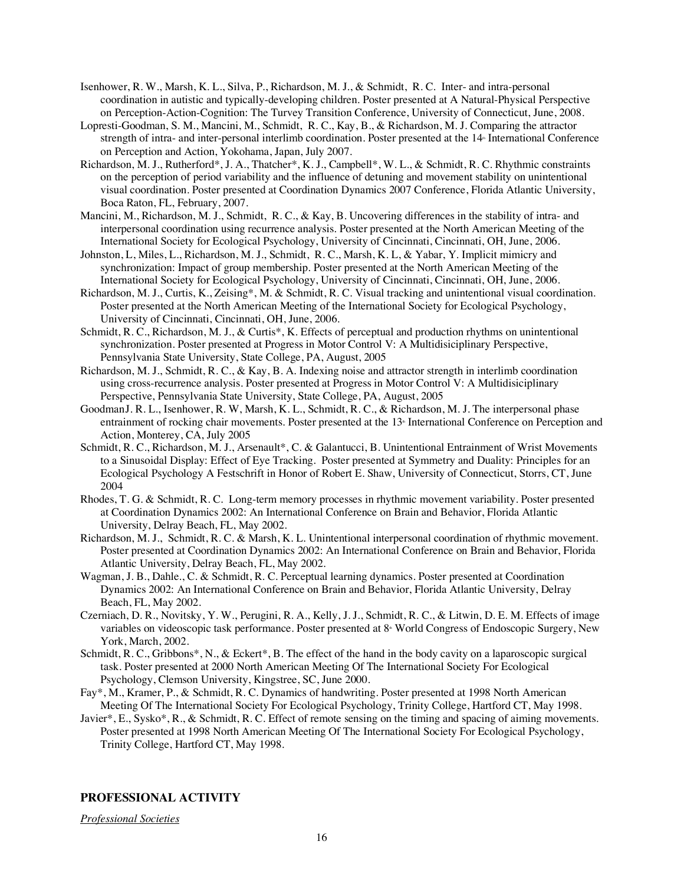- Isenhower, R. W., Marsh, K. L., Silva, P., Richardson, M. J., & Schmidt, R. C. Inter- and intra-personal coordination in autistic and typically-developing children. Poster presented at A Natural-Physical Perspective on Perception-Action-Cognition: The Turvey Transition Conference, University of Connecticut, June, 2008.
- Lopresti-Goodman, S. M., Mancini, M., Schmidt, R. C., Kay, B., & Richardson, M. J. Comparing the attractor strength of intra- and inter-personal interlimb coordination. Poster presented at the 14<sup>th</sup> International Conference on Perception and Action, Yokohama, Japan, July 2007.
- Richardson, M. J., Rutherford\*, J. A., Thatcher\*, K. J., Campbell\*, W. L., & Schmidt, R. C. Rhythmic constraints on the perception of period variability and the influence of detuning and movement stability on unintentional visual coordination. Poster presented at Coordination Dynamics 2007 Conference, Florida Atlantic University, Boca Raton, FL, February, 2007.
- Mancini, M., Richardson, M. J., Schmidt, R. C., & Kay, B. Uncovering differences in the stability of intra- and interpersonal coordination using recurrence analysis. Poster presented at the North American Meeting of the International Society for Ecological Psychology, University of Cincinnati, Cincinnati, OH, June, 2006.
- Johnston, L, Miles, L., Richardson, M. J., Schmidt, R. C., Marsh, K. L, & Yabar, Y. Implicit mimicry and synchronization: Impact of group membership. Poster presented at the North American Meeting of the International Society for Ecological Psychology, University of Cincinnati, Cincinnati, OH, June, 2006.
- Richardson, M. J., Curtis, K., Zeising\*, M. & Schmidt, R. C. Visual tracking and unintentional visual coordination. Poster presented at the North American Meeting of the International Society for Ecological Psychology, University of Cincinnati, Cincinnati, OH, June, 2006.
- Schmidt, R. C., Richardson, M. J., & Curtis\*, K. Effects of perceptual and production rhythms on unintentional synchronization*.* Poster presented at Progress in Motor Control V: A Multidisiciplinary Perspective, Pennsylvania State University, State College, PA, August, 2005
- Richardson, M. J., Schmidt, R. C., & Kay, B. A. Indexing noise and attractor strength in interlimb coordination using cross-recurrence analysis*.* Poster presented at Progress in Motor Control V: A Multidisiciplinary Perspective, Pennsylvania State University, State College, PA, August, 2005
- GoodmanJ. R. L., Isenhower, R. W, Marsh, K. L., Schmidt, R. C., & Richardson, M. J. The interpersonal phase entrainment of rocking chair movements. Poster presented at the 13<sup>th</sup> International Conference on Perception and Action, Monterey, CA, July 2005
- Schmidt, R. C., Richardson, M. J., Arsenault\*, C. & Galantucci, B. Unintentional Entrainment of Wrist Movements to a Sinusoidal Display: Effect of Eye Tracking. Poster presented at Symmetry and Duality: Principles for an Ecological Psychology A Festschrift in Honor of Robert E. Shaw, University of Connecticut, Storrs, CT, June 2004
- Rhodes, T. G. & Schmidt, R. C. Long-term memory processes in rhythmic movement variability. Poster presented at Coordination Dynamics 2002: An International Conference on Brain and Behavior, Florida Atlantic University, Delray Beach, FL, May 2002.
- Richardson, M. J., Schmidt, R. C. & Marsh, K. L. Unintentional interpersonal coordination of rhythmic movement. Poster presented at Coordination Dynamics 2002: An International Conference on Brain and Behavior, Florida Atlantic University, Delray Beach, FL, May 2002.
- Wagman, J. B., Dahle., C. & Schmidt, R. C. Perceptual learning dynamics. Poster presented at Coordination Dynamics 2002: An International Conference on Brain and Behavior, Florida Atlantic University, Delray Beach, FL, May 2002.
- Czerniach, D. R., Novitsky, Y. W., Perugini, R. A., Kelly, J. J., Schmidt, R. C., & Litwin, D. E. M. Effects of image variables on videoscopic task performance. Poster presented at 8<sup>*s*</sup> World Congress of Endoscopic Surgery, New York, March, 2002.
- Schmidt, R. C., Gribbons\*, N., & Eckert\*, B. The effect of the hand in the body cavity on a laparoscopic surgical task. Poster presented at 2000 North American Meeting Of The International Society For Ecological Psychology, Clemson University, Kingstree, SC, June 2000.
- Fay\*, M., Kramer, P., & Schmidt, R. C. Dynamics of handwriting. Poster presented at 1998 North American Meeting Of The International Society For Ecological Psychology, Trinity College, Hartford CT, May 1998.
- Javier\*, E., Sysko\*, R., & Schmidt, R. C. Effect of remote sensing on the timing and spacing of aiming movements. Poster presented at 1998 North American Meeting Of The International Society For Ecological Psychology, Trinity College, Hartford CT, May 1998.

## **PROFESSIONAL ACTIVITY**

*Professional Societies*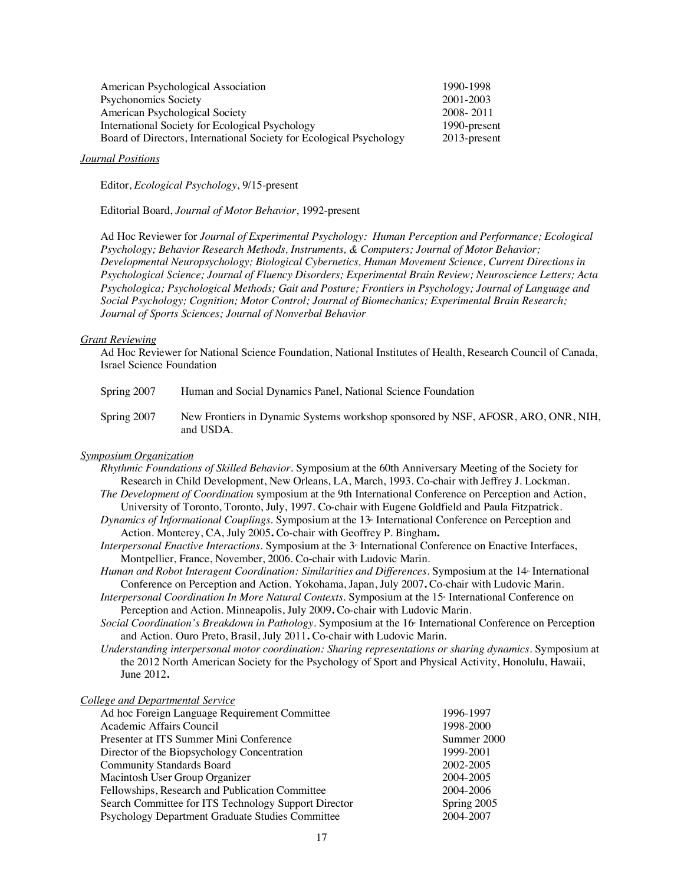| American Psychological Association                                  | 1990-1998    |
|---------------------------------------------------------------------|--------------|
| Psychonomics Society                                                | 2001-2003    |
| American Psychological Society                                      | 2008 - 2011  |
| International Society for Ecological Psychology                     | 1990-present |
| Board of Directors, International Society for Ecological Psychology | 2013-present |
|                                                                     |              |

### *Journal Positions*

Editor, *Ecological Psychology*, 9/15-present

Editorial Board, *Journal of Motor Behavior*, 1992-present

Ad Hoc Reviewer for *Journal of Experimental Psychology: Human Perception and Performance; Ecological Psychology; Behavior Research Methods, Instruments, & Computers; Journal of Motor Behavior; Developmental Neuropsychology; Biological Cybernetics, Human Movement Science, Current Directions in Psychological Science; Journal of Fluency Disorders; Experimental Brain Review; Neuroscience Letters; Acta Psychologica; Psychological Methods; Gait and Posture; Frontiers in Psychology; Journal of Language and Social Psychology; Cognition; Motor Control; Journal of Biomechanics; Experimental Brain Research; Journal of Sports Sciences; Journal of Nonverbal Behavior*

#### *Grant Reviewing*

Ad Hoc Reviewer for National Science Foundation, National Institutes of Health, Research Council of Canada, Israel Science Foundation

| Spring 2007 | Human and Social Dynamics Panel, National Science Foundation |
|-------------|--------------------------------------------------------------|
|-------------|--------------------------------------------------------------|

Spring 2007 New Frontiers in Dynamic Systems workshop sponsored by NSF, AFOSR, ARO, ONR, NIH, and USDA.

### *Symposium Organization*

- *Rhythmic Foundations of Skilled Behavior.* Symposium at the 60th Anniversary Meeting of the Society for Research in Child Development, New Orleans, LA, March, 1993. Co-chair with Jeffrey J. Lockman.
- *The Development of Coordination* symposium at the 9th International Conference on Perception and Action, University of Toronto, Toronto, July, 1997. Co-chair with Eugene Goldfield and Paula Fitzpatrick.
- *Dynamics of Informational Couplings.* Symposium at the 13<sup>th</sup> International Conference on Perception and Action. Monterey, CA, July 2005**.** Co-chair with Geoffrey P. Bingham**.**
- *Interpersonal Enactive Interactions.* Symposium at the 3<sup>*s*</sup> International Conference on Enactive Interfaces, Montpellier, France, November, 2006. Co-chair with Ludovic Marin.
- *Human and Robot Interagent Coordination: Similarities and Differences. Symposium at the 14 International* Conference on Perception and Action. Yokohama, Japan, July 2007**.** Co-chair with Ludovic Marin.
- *Interpersonal Coordination In More Natural Contexts.* Symposium at the 15<sup>th</sup> International Conference on Perception and Action. Minneapolis, July 2009**.** Co-chair with Ludovic Marin.
- Social Coordination's Breakdown in Pathology. Symposium at the 16<sup>th</sup> International Conference on Perception and Action. Ouro Preto, Brasil, July 2011**.** Co-chair with Ludovic Marin.
- *Understanding interpersonal motor coordination: Sharing representations or sharing dynamics.* Symposium at the 2012 North American Society for the Psychology of Sport and Physical Activity, Honolulu, Hawaii, June 2012**.**

| <b>College and Departmental Service</b>              |             |
|------------------------------------------------------|-------------|
| Ad hoc Foreign Language Requirement Committee        | 1996-1997   |
| Academic Affairs Council                             | 1998-2000   |
| Presenter at ITS Summer Mini Conference              | Summer 2000 |
| Director of the Biopsychology Concentration          | 1999-2001   |
| <b>Community Standards Board</b>                     | 2002-2005   |
| Macintosh User Group Organizer                       | 2004-2005   |
| Fellowships, Research and Publication Committee      | 2004-2006   |
| Search Committee for ITS Technology Support Director | Spring 2005 |
| Psychology Department Graduate Studies Committee     | 2004-2007   |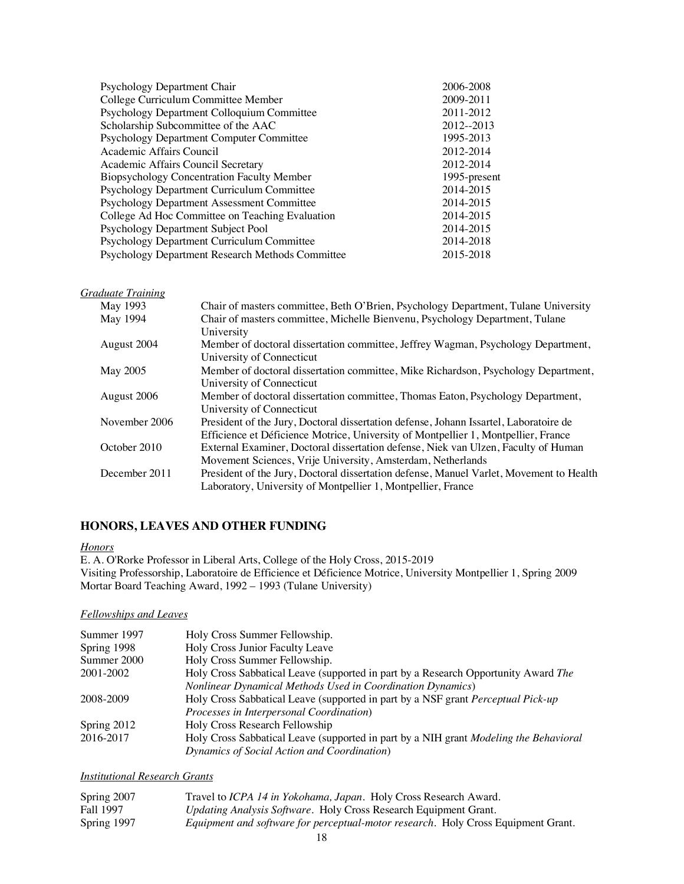| Psychology Department Chair                      | 2006-2008     |
|--------------------------------------------------|---------------|
| College Curriculum Committee Member              | 2009-2011     |
| Psychology Department Colloquium Committee       | 2011-2012     |
| Scholarship Subcommittee of the AAC              | $2012 - 2013$ |
| <b>Psychology Department Computer Committee</b>  | 1995-2013     |
| Academic Affairs Council                         | 2012-2014     |
| Academic Affairs Council Secretary               | 2012-2014     |
| Biopsychology Concentration Faculty Member       | 1995-present  |
| Psychology Department Curriculum Committee       | 2014-2015     |
| Psychology Department Assessment Committee       | 2014-2015     |
| College Ad Hoc Committee on Teaching Evaluation  | 2014-2015     |
| Psychology Department Subject Pool               | 2014-2015     |
| Psychology Department Curriculum Committee       | 2014-2018     |
| Psychology Department Research Methods Committee | 2015-2018     |

### *Graduate Training*

| May 1993      | Chair of masters committee, Beth O'Brien, Psychology Department, Tulane University      |
|---------------|-----------------------------------------------------------------------------------------|
| May 1994      | Chair of masters committee, Michelle Bienvenu, Psychology Department, Tulane            |
|               | University                                                                              |
| August 2004   | Member of doctoral dissertation committee, Jeffrey Wagman, Psychology Department,       |
|               | University of Connecticut                                                               |
| May 2005      | Member of doctoral dissertation committee, Mike Richardson, Psychology Department,      |
|               | University of Connecticut                                                               |
| August 2006   | Member of doctoral dissertation committee, Thomas Eaton, Psychology Department,         |
|               | University of Connecticut                                                               |
| November 2006 | President of the Jury, Doctoral dissertation defense, Johann Issartel, Laboratoire de   |
|               | Efficience et Déficience Motrice, University of Montpellier 1, Montpellier, France      |
| October 2010  | External Examiner, Doctoral dissertation defense, Niek van Ulzen, Faculty of Human      |
|               | Movement Sciences, Vrije University, Amsterdam, Netherlands                             |
| December 2011 | President of the Jury, Doctoral dissertation defense, Manuel Varlet, Movement to Health |
|               | Laboratory, University of Montpellier 1, Montpellier, France                            |

## **HONORS, LEAVES AND OTHER FUNDING**

### *Honors*

E. A. O'Rorke Professor in Liberal Arts, College of the Holy Cross, 2015-2019 Visiting Professorship, Laboratoire de Efficience et Déficience Motrice, University Montpellier 1, Spring 2009 Mortar Board Teaching Award, 1992 – 1993 (Tulane University)

### *Fellowships and Leaves*

| Summer 1997 | Holy Cross Summer Fellowship.                                                                |
|-------------|----------------------------------------------------------------------------------------------|
| Spring 1998 | Holy Cross Junior Faculty Leave                                                              |
| Summer 2000 | Holy Cross Summer Fellowship.                                                                |
| 2001-2002   | Holy Cross Sabbatical Leave (supported in part by a Research Opportunity Award The           |
|             | <b>Nonlinear Dynamical Methods Used in Coordination Dynamics</b> )                           |
| 2008-2009   | Holy Cross Sabbatical Leave (supported in part by a NSF grant Perceptual Pick-up             |
|             | Processes in Interpersonal Coordination)                                                     |
| Spring 2012 | Holy Cross Research Fellowship                                                               |
| 2016-2017   | Holy Cross Sabbatical Leave (supported in part by a NIH grant <i>Modeling the Behavioral</i> |
|             | Dynamics of Social Action and Coordination)                                                  |

*Institutional Research Grants*

| Spring 2007 | Travel to ICPA 14 in Yokohama, Japan. Holy Cross Research Award.                  |
|-------------|-----------------------------------------------------------------------------------|
| Fall 1997   | <i>Updating Analysis Software.</i> Holy Cross Research Equipment Grant.           |
| Spring 1997 | Equipment and software for perceptual-motor research. Holy Cross Equipment Grant. |